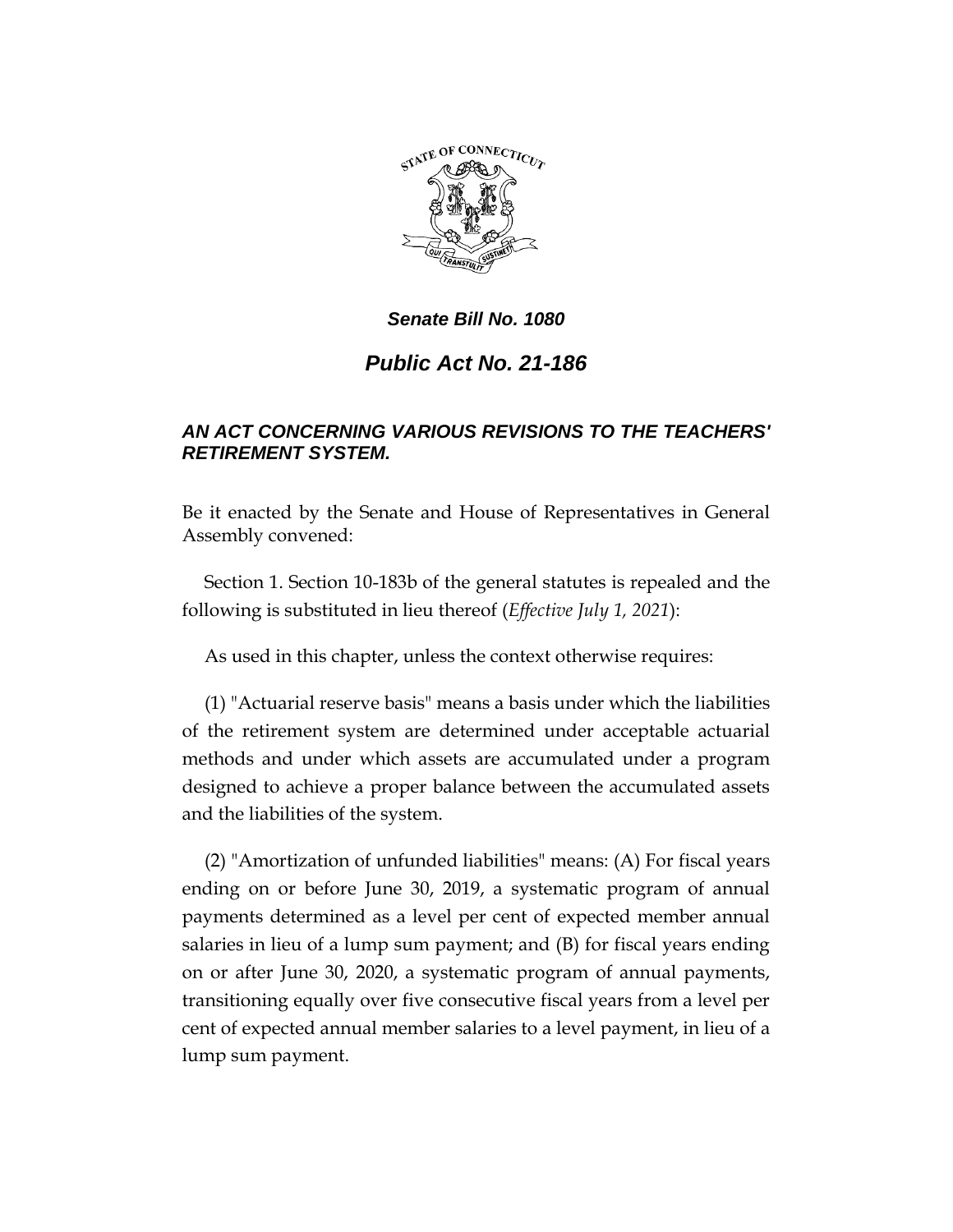

# *Public Act No. 21-186*

# *AN ACT CONCERNING VARIOUS REVISIONS TO THE TEACHERS' RETIREMENT SYSTEM.*

Be it enacted by the Senate and House of Representatives in General Assembly convened:

Section 1. Section 10-183b of the general statutes is repealed and the following is substituted in lieu thereof (*Effective July 1, 2021*):

As used in this chapter, unless the context otherwise requires:

(1) "Actuarial reserve basis" means a basis under which the liabilities of the retirement system are determined under acceptable actuarial methods and under which assets are accumulated under a program designed to achieve a proper balance between the accumulated assets and the liabilities of the system.

(2) "Amortization of unfunded liabilities" means: (A) For fiscal years ending on or before June 30, 2019, a systematic program of annual payments determined as a level per cent of expected member annual salaries in lieu of a lump sum payment; and (B) for fiscal years ending on or after June 30, 2020, a systematic program of annual payments, transitioning equally over five consecutive fiscal years from a level per cent of expected annual member salaries to a level payment, in lieu of a lump sum payment.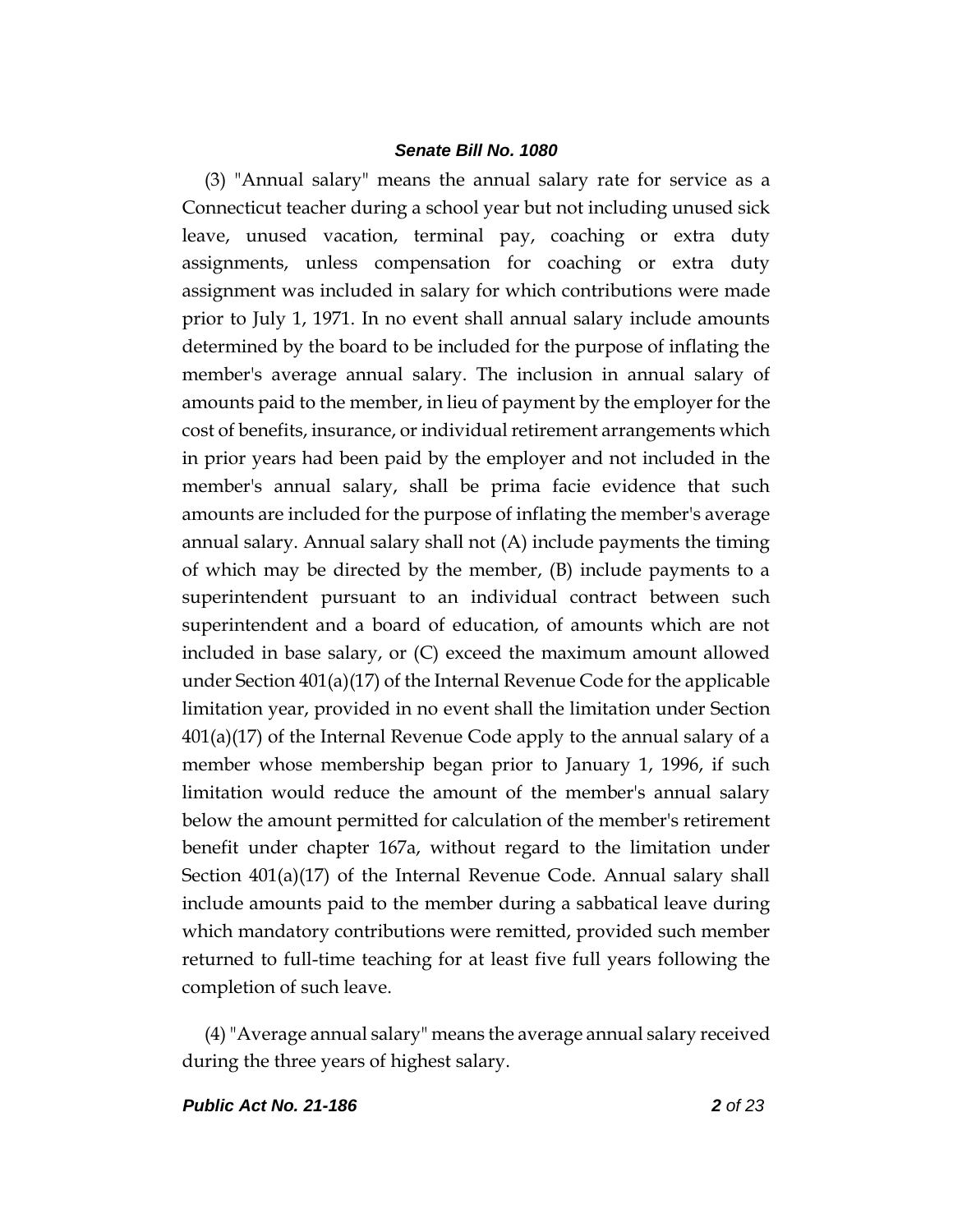(3) "Annual salary" means the annual salary rate for service as a Connecticut teacher during a school year but not including unused sick leave, unused vacation, terminal pay, coaching or extra duty assignments, unless compensation for coaching or extra duty assignment was included in salary for which contributions were made prior to July 1, 1971. In no event shall annual salary include amounts determined by the board to be included for the purpose of inflating the member's average annual salary. The inclusion in annual salary of amounts paid to the member, in lieu of payment by the employer for the cost of benefits, insurance, or individual retirement arrangements which in prior years had been paid by the employer and not included in the member's annual salary, shall be prima facie evidence that such amounts are included for the purpose of inflating the member's average annual salary. Annual salary shall not (A) include payments the timing of which may be directed by the member, (B) include payments to a superintendent pursuant to an individual contract between such superintendent and a board of education, of amounts which are not included in base salary, or (C) exceed the maximum amount allowed under Section 401(a)(17) of the Internal Revenue Code for the applicable limitation year, provided in no event shall the limitation under Section 401(a)(17) of the Internal Revenue Code apply to the annual salary of a member whose membership began prior to January 1, 1996, if such limitation would reduce the amount of the member's annual salary below the amount permitted for calculation of the member's retirement benefit under chapter 167a, without regard to the limitation under Section 401(a)(17) of the Internal Revenue Code. Annual salary shall include amounts paid to the member during a sabbatical leave during which mandatory contributions were remitted, provided such member returned to full-time teaching for at least five full years following the completion of such leave.

(4)"Average annual salary" means the average annual salary received during the three years of highest salary.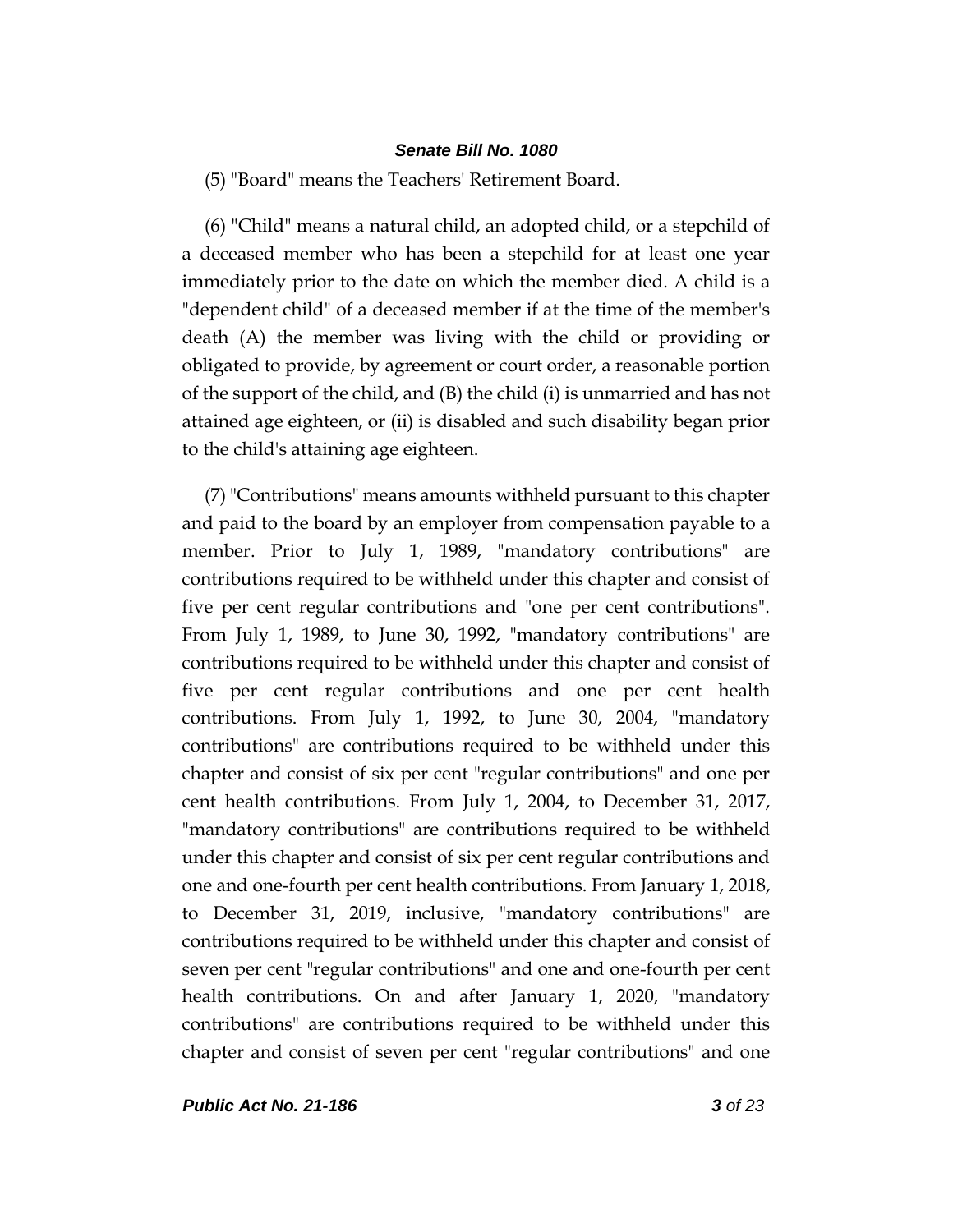(5) "Board" means the Teachers' Retirement Board.

(6) "Child" means a natural child, an adopted child, or a stepchild of a deceased member who has been a stepchild for at least one year immediately prior to the date on which the member died. A child is a "dependent child" of a deceased member if at the time of the member's death (A) the member was living with the child or providing or obligated to provide, by agreement or court order, a reasonable portion of the support of the child, and (B) the child (i) is unmarried and has not attained age eighteen, or (ii) is disabled and such disability began prior to the child's attaining age eighteen.

(7) "Contributions" means amounts withheld pursuant to this chapter and paid to the board by an employer from compensation payable to a member. Prior to July 1, 1989, "mandatory contributions" are contributions required to be withheld under this chapter and consist of five per cent regular contributions and "one per cent contributions". From July 1, 1989, to June 30, 1992, "mandatory contributions" are contributions required to be withheld under this chapter and consist of five per cent regular contributions and one per cent health contributions. From July 1, 1992, to June 30, 2004, "mandatory contributions" are contributions required to be withheld under this chapter and consist of six per cent "regular contributions" and one per cent health contributions. From July 1, 2004, to December 31, 2017, "mandatory contributions" are contributions required to be withheld under this chapter and consist of six per cent regular contributions and one and one-fourth per cent health contributions. From January 1, 2018, to December 31, 2019, inclusive, "mandatory contributions" are contributions required to be withheld under this chapter and consist of seven per cent "regular contributions" and one and one-fourth per cent health contributions. On and after January 1, 2020, "mandatory contributions" are contributions required to be withheld under this chapter and consist of seven per cent "regular contributions" and one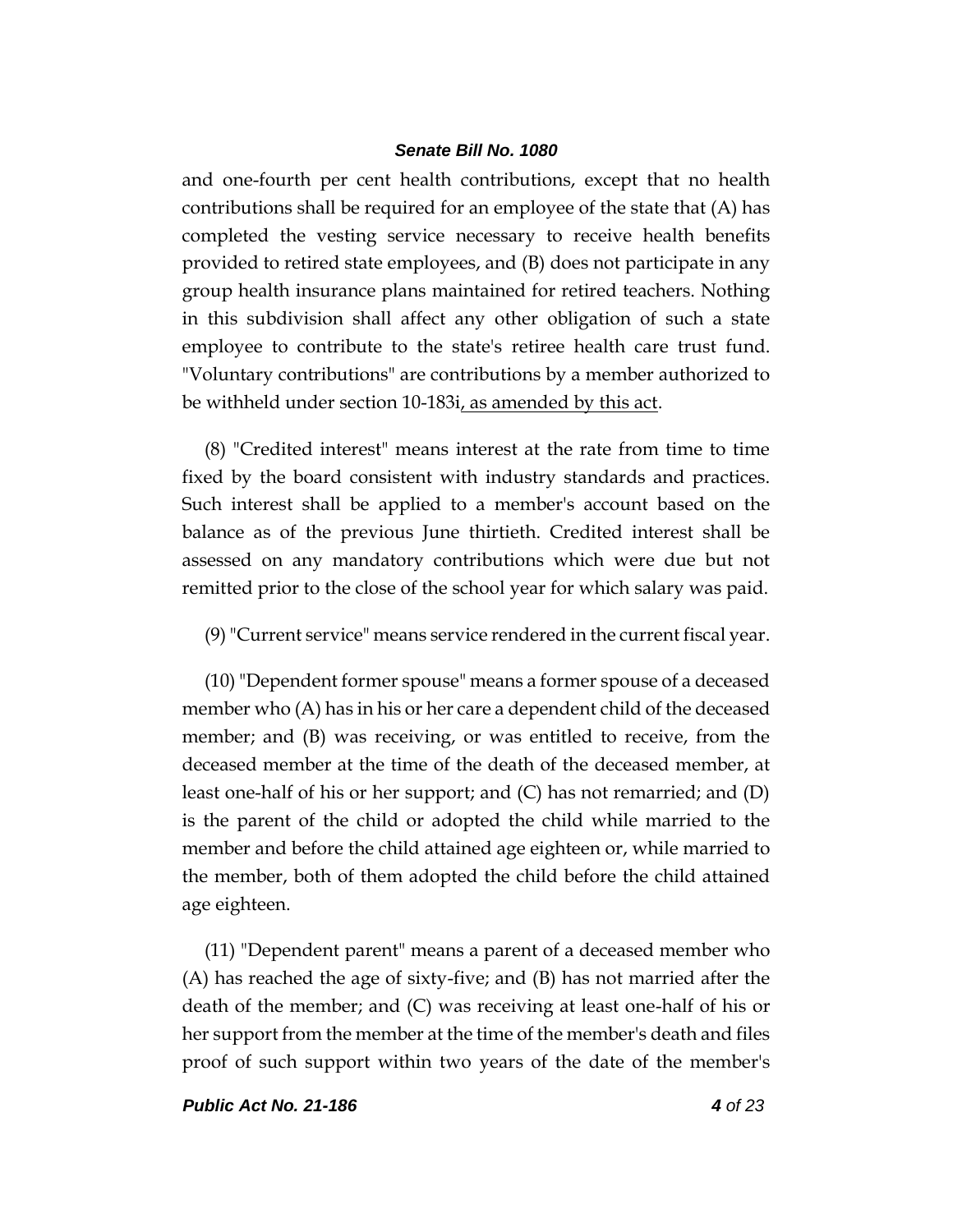and one-fourth per cent health contributions, except that no health contributions shall be required for an employee of the state that (A) has completed the vesting service necessary to receive health benefits provided to retired state employees, and (B) does not participate in any group health insurance plans maintained for retired teachers. Nothing in this subdivision shall affect any other obligation of such a state employee to contribute to the state's retiree health care trust fund. "Voluntary contributions" are contributions by a member authorized to be withheld under section 10-183i, as amended by this act.

(8) "Credited interest" means interest at the rate from time to time fixed by the board consistent with industry standards and practices. Such interest shall be applied to a member's account based on the balance as of the previous June thirtieth. Credited interest shall be assessed on any mandatory contributions which were due but not remitted prior to the close of the school year for which salary was paid.

(9)"Current service" means service rendered in the current fiscal year.

(10) "Dependent former spouse" means a former spouse of a deceased member who (A) has in his or her care a dependent child of the deceased member; and (B) was receiving, or was entitled to receive, from the deceased member at the time of the death of the deceased member, at least one-half of his or her support; and (C) has not remarried; and (D) is the parent of the child or adopted the child while married to the member and before the child attained age eighteen or, while married to the member, both of them adopted the child before the child attained age eighteen.

(11) "Dependent parent" means a parent of a deceased member who (A) has reached the age of sixty-five; and (B) has not married after the death of the member; and (C) was receiving at least one-half of his or her support from the member at the time of the member's death and files proof of such support within two years of the date of the member's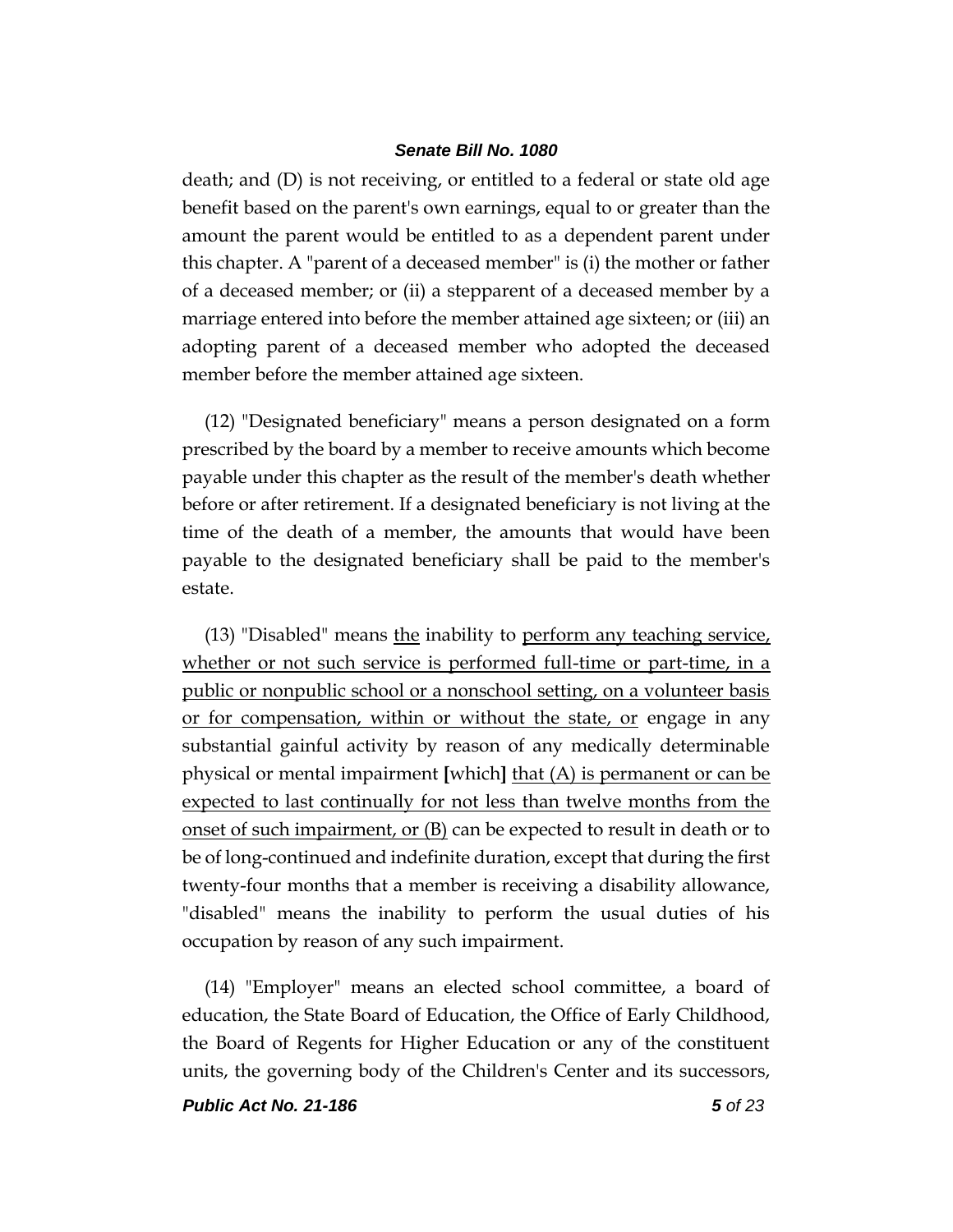death; and (D) is not receiving, or entitled to a federal or state old age benefit based on the parent's own earnings, equal to or greater than the amount the parent would be entitled to as a dependent parent under this chapter. A "parent of a deceased member" is (i) the mother or father of a deceased member; or (ii) a stepparent of a deceased member by a marriage entered into before the member attained age sixteen; or (iii) an adopting parent of a deceased member who adopted the deceased member before the member attained age sixteen.

(12) "Designated beneficiary" means a person designated on a form prescribed by the board by a member to receive amounts which become payable under this chapter as the result of the member's death whether before or after retirement. If a designated beneficiary is not living at the time of the death of a member, the amounts that would have been payable to the designated beneficiary shall be paid to the member's estate.

(13) "Disabled" means the inability to perform any teaching service, whether or not such service is performed full-time or part-time, in a public or nonpublic school or a nonschool setting, on a volunteer basis or for compensation, within or without the state, or engage in any substantial gainful activity by reason of any medically determinable physical or mental impairment **[**which**]** that (A) is permanent or can be expected to last continually for not less than twelve months from the onset of such impairment, or (B) can be expected to result in death or to be of long-continued and indefinite duration, except that during the first twenty-four months that a member is receiving a disability allowance, "disabled" means the inability to perform the usual duties of his occupation by reason of any such impairment.

(14) "Employer" means an elected school committee, a board of education, the State Board of Education, the Office of Early Childhood, the Board of Regents for Higher Education or any of the constituent units, the governing body of the Children's Center and its successors,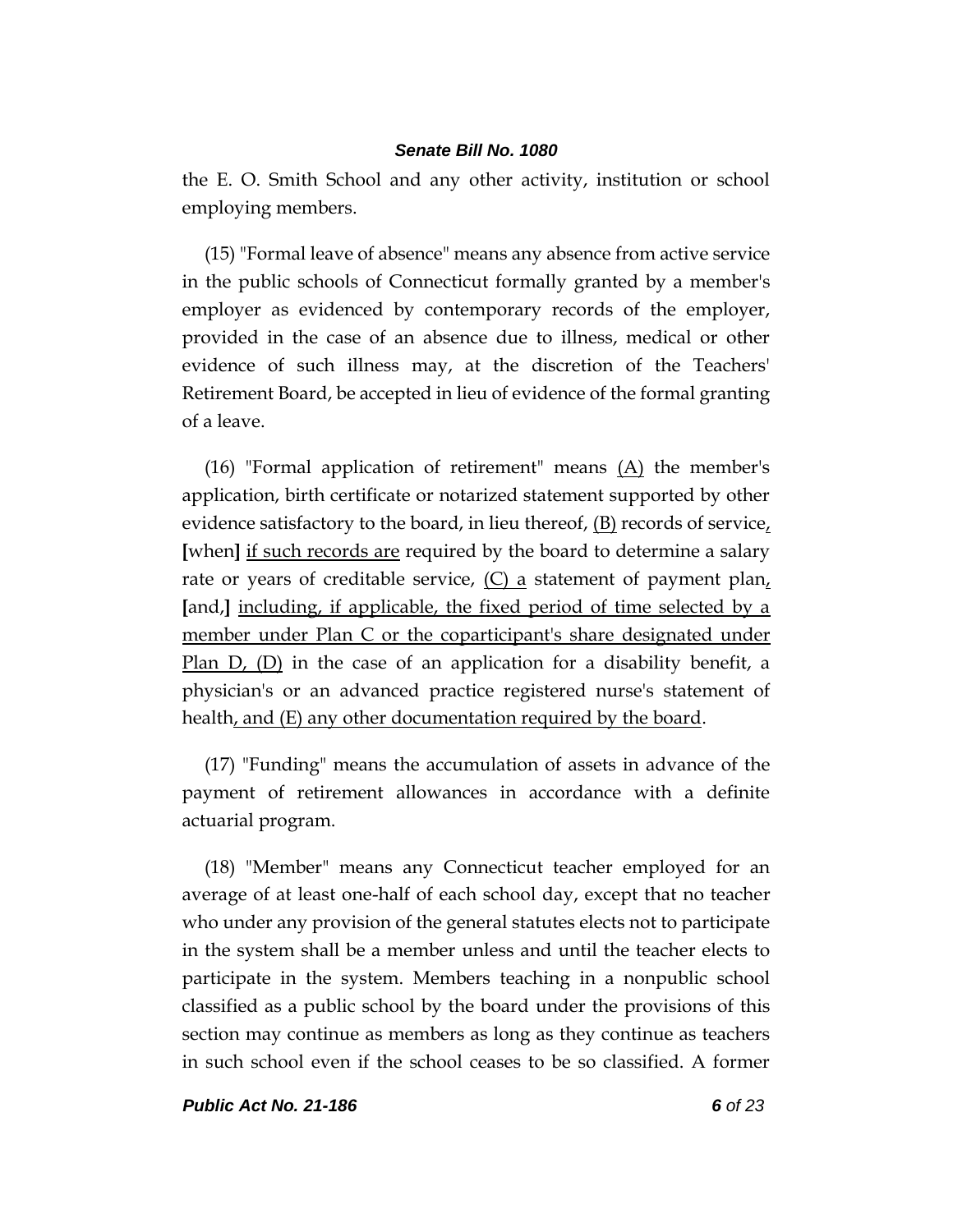the E. O. Smith School and any other activity, institution or school employing members.

(15) "Formal leave of absence" means any absence from active service in the public schools of Connecticut formally granted by a member's employer as evidenced by contemporary records of the employer, provided in the case of an absence due to illness, medical or other evidence of such illness may, at the discretion of the Teachers' Retirement Board, be accepted in lieu of evidence of the formal granting of a leave.

(16) "Formal application of retirement" means  $(A)$  the member's application, birth certificate or notarized statement supported by other evidence satisfactory to the board, in lieu thereof, (B) records of service, **[**when**]** if such records are required by the board to determine a salary rate or years of creditable service,  $(C)$  a statement of payment plan, **[**and,**]** including, if applicable, the fixed period of time selected by a member under Plan C or the coparticipant's share designated under <u>Plan D, (D)</u> in the case of an application for a disability benefit, a physician's or an advanced practice registered nurse's statement of health, and (E) any other documentation required by the board.

(17) "Funding" means the accumulation of assets in advance of the payment of retirement allowances in accordance with a definite actuarial program.

(18) "Member" means any Connecticut teacher employed for an average of at least one-half of each school day, except that no teacher who under any provision of the general statutes elects not to participate in the system shall be a member unless and until the teacher elects to participate in the system. Members teaching in a nonpublic school classified as a public school by the board under the provisions of this section may continue as members as long as they continue as teachers in such school even if the school ceases to be so classified. A former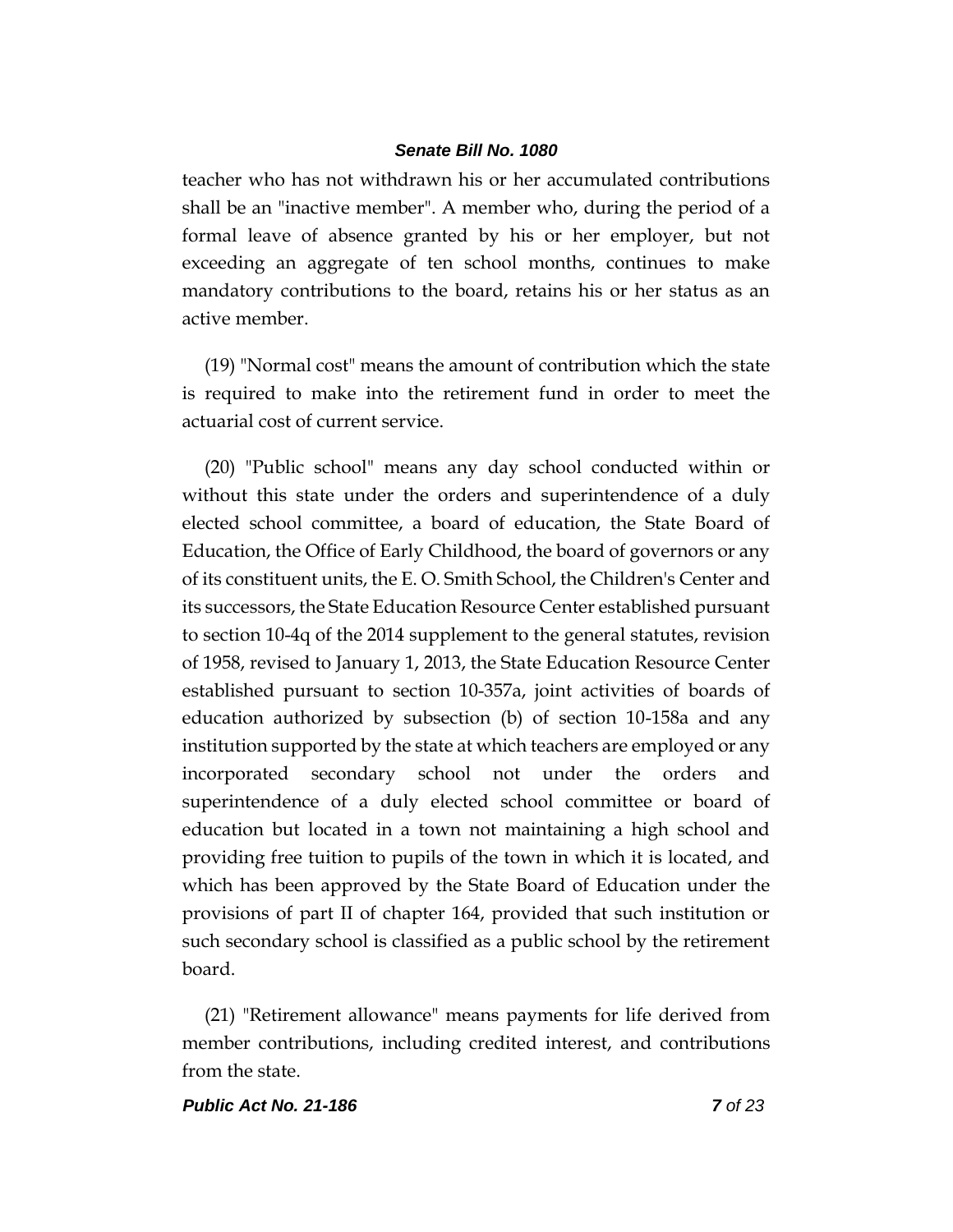teacher who has not withdrawn his or her accumulated contributions shall be an "inactive member". A member who, during the period of a formal leave of absence granted by his or her employer, but not exceeding an aggregate of ten school months, continues to make mandatory contributions to the board, retains his or her status as an active member.

(19) "Normal cost" means the amount of contribution which the state is required to make into the retirement fund in order to meet the actuarial cost of current service.

(20) "Public school" means any day school conducted within or without this state under the orders and superintendence of a duly elected school committee, a board of education, the State Board of Education, the Office of Early Childhood, the board of governors or any of its constituent units, the E. O. Smith School, the Children's Center and its successors, the State Education Resource Center established pursuant to section 10-4q of the 2014 supplement to the general statutes, revision of 1958, revised to January 1, 2013, the State Education Resource Center established pursuant to section 10-357a, joint activities of boards of education authorized by subsection (b) of section 10-158a and any institution supported by the state at which teachers are employed or any incorporated secondary school not under the orders and superintendence of a duly elected school committee or board of education but located in a town not maintaining a high school and providing free tuition to pupils of the town in which it is located, and which has been approved by the State Board of Education under the provisions of part II of chapter 164, provided that such institution or such secondary school is classified as a public school by the retirement board.

(21) "Retirement allowance" means payments for life derived from member contributions, including credited interest, and contributions from the state.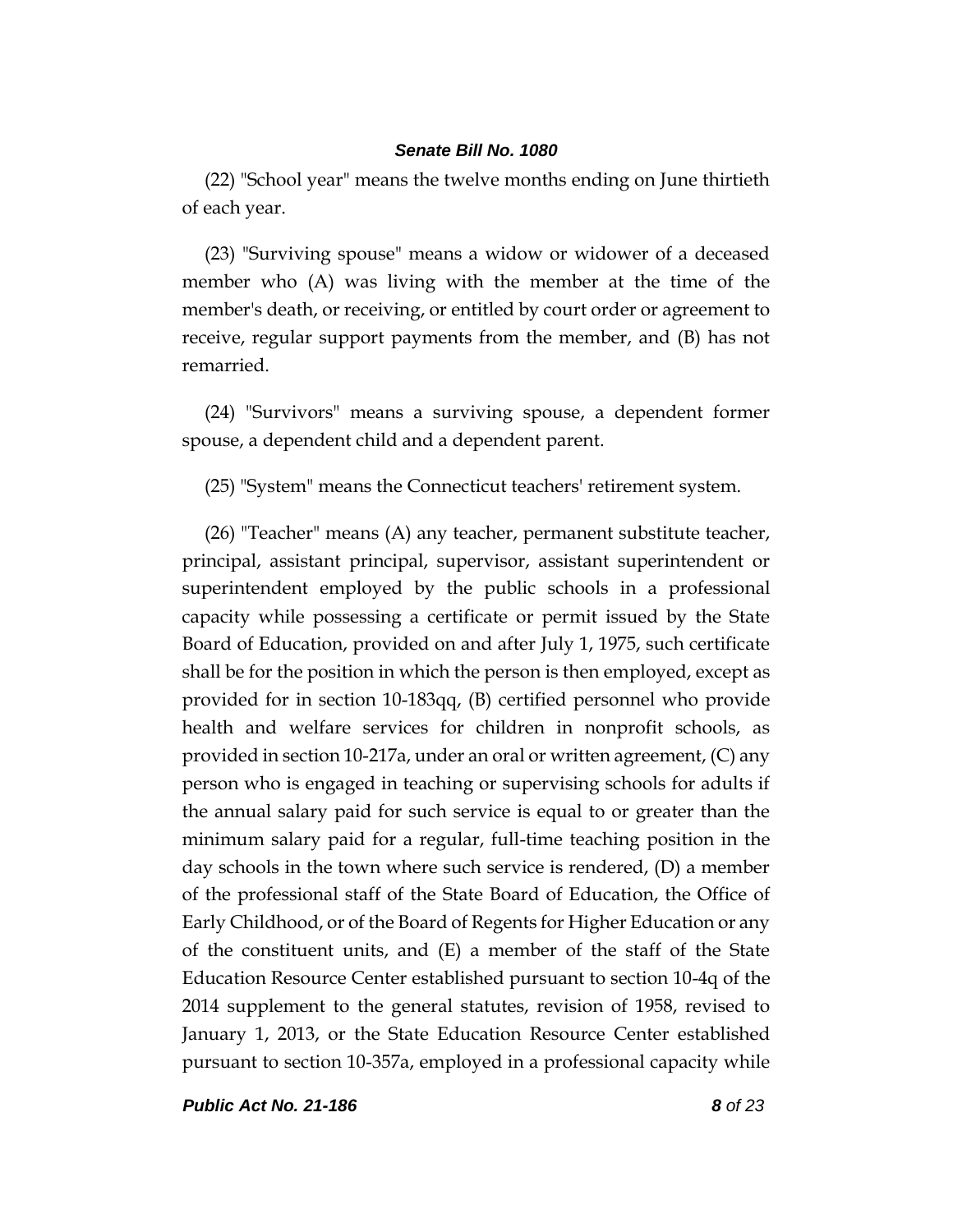(22) "School year" means the twelve months ending on June thirtieth of each year.

(23) "Surviving spouse" means a widow or widower of a deceased member who (A) was living with the member at the time of the member's death, or receiving, or entitled by court order or agreement to receive, regular support payments from the member, and (B) has not remarried.

(24) "Survivors" means a surviving spouse, a dependent former spouse, a dependent child and a dependent parent.

# (25) "System" means the Connecticut teachers' retirement system.

(26) "Teacher" means (A) any teacher, permanent substitute teacher, principal, assistant principal, supervisor, assistant superintendent or superintendent employed by the public schools in a professional capacity while possessing a certificate or permit issued by the State Board of Education, provided on and after July 1, 1975, such certificate shall be for the position in which the person is then employed, except as provided for in section 10-183qq, (B) certified personnel who provide health and welfare services for children in nonprofit schools, as provided in section 10-217a, under an oral or written agreement, (C) any person who is engaged in teaching or supervising schools for adults if the annual salary paid for such service is equal to or greater than the minimum salary paid for a regular, full-time teaching position in the day schools in the town where such service is rendered, (D) a member of the professional staff of the State Board of Education, the Office of Early Childhood, or of the Board of Regents for Higher Education or any of the constituent units, and (E) a member of the staff of the State Education Resource Center established pursuant to section 10-4q of the 2014 supplement to the general statutes, revision of 1958, revised to January 1, 2013, or the State Education Resource Center established pursuant to section 10-357a, employed in a professional capacity while

*Public Act No. 21-186 8 of 23*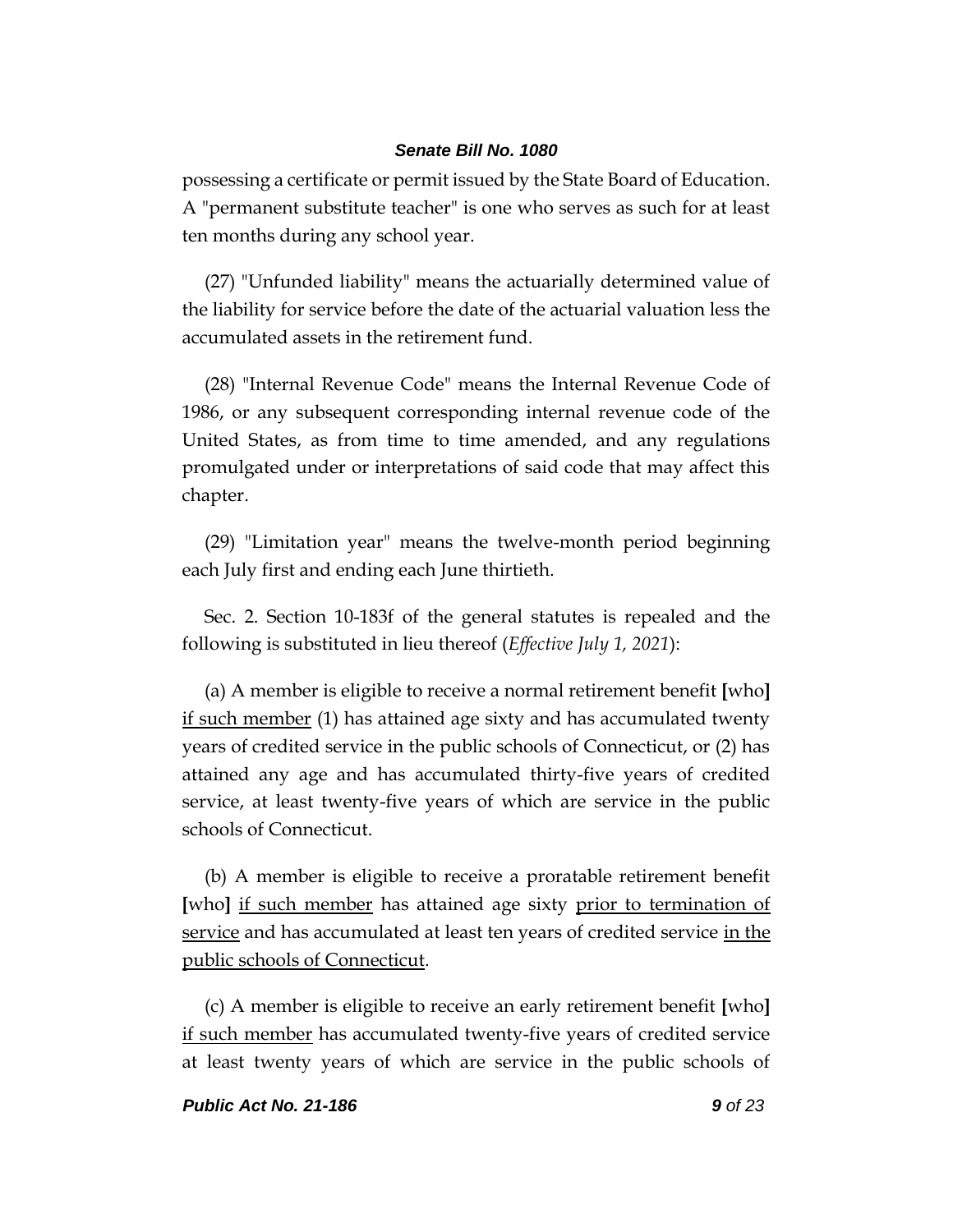possessing a certificate or permit issued by the State Board of Education. A "permanent substitute teacher" is one who serves as such for at least ten months during any school year.

(27) "Unfunded liability" means the actuarially determined value of the liability for service before the date of the actuarial valuation less the accumulated assets in the retirement fund.

(28) "Internal Revenue Code" means the Internal Revenue Code of 1986, or any subsequent corresponding internal revenue code of the United States, as from time to time amended, and any regulations promulgated under or interpretations of said code that may affect this chapter.

(29) "Limitation year" means the twelve-month period beginning each July first and ending each June thirtieth.

Sec. 2. Section 10-183f of the general statutes is repealed and the following is substituted in lieu thereof (*Effective July 1, 2021*):

(a) A member is eligible to receive a normal retirement benefit **[**who**]** if such member (1) has attained age sixty and has accumulated twenty years of credited service in the public schools of Connecticut, or (2) has attained any age and has accumulated thirty-five years of credited service, at least twenty-five years of which are service in the public schools of Connecticut.

(b) A member is eligible to receive a proratable retirement benefit **[**who**]** if such member has attained age sixty prior to termination of service and has accumulated at least ten years of credited service in the public schools of Connecticut.

(c) A member is eligible to receive an early retirement benefit **[**who**]** if such member has accumulated twenty-five years of credited service at least twenty years of which are service in the public schools of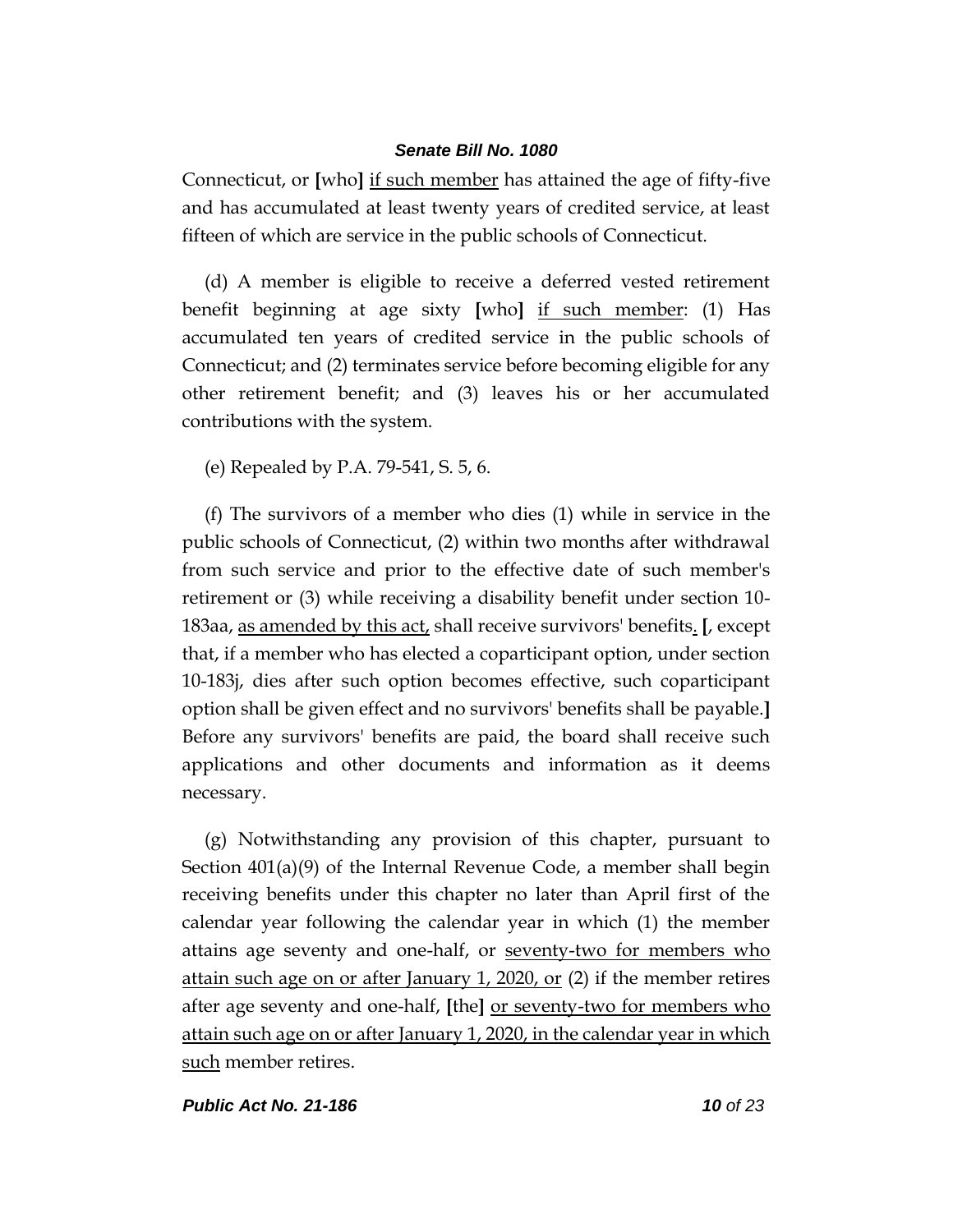Connecticut, or **[**who**]** if such member has attained the age of fifty-five and has accumulated at least twenty years of credited service, at least fifteen of which are service in the public schools of Connecticut.

(d) A member is eligible to receive a deferred vested retirement benefit beginning at age sixty **[**who**]** if such member: (1) Has accumulated ten years of credited service in the public schools of Connecticut; and (2) terminates service before becoming eligible for any other retirement benefit; and (3) leaves his or her accumulated contributions with the system.

(e) Repealed by P.A. 79-541, S. 5, 6.

(f) The survivors of a member who dies (1) while in service in the public schools of Connecticut, (2) within two months after withdrawal from such service and prior to the effective date of such member's retirement or (3) while receiving a disability benefit under section 10- 183aa, as amended by this act, shall receive survivors' benefits. **[**, except that, if a member who has elected a coparticipant option, under section 10-183j, dies after such option becomes effective, such coparticipant option shall be given effect and no survivors' benefits shall be payable.**]** Before any survivors' benefits are paid, the board shall receive such applications and other documents and information as it deems necessary.

(g) Notwithstanding any provision of this chapter, pursuant to Section 401(a)(9) of the Internal Revenue Code, a member shall begin receiving benefits under this chapter no later than April first of the calendar year following the calendar year in which (1) the member attains age seventy and one-half, or seventy-two for members who attain such age on or after January 1, 2020, or (2) if the member retires after age seventy and one-half, **[**the**]** or seventy-two for members who attain such age on or after January 1, 2020, in the calendar year in which such member retires.

#### *Public Act No. 21-186 10 of 23*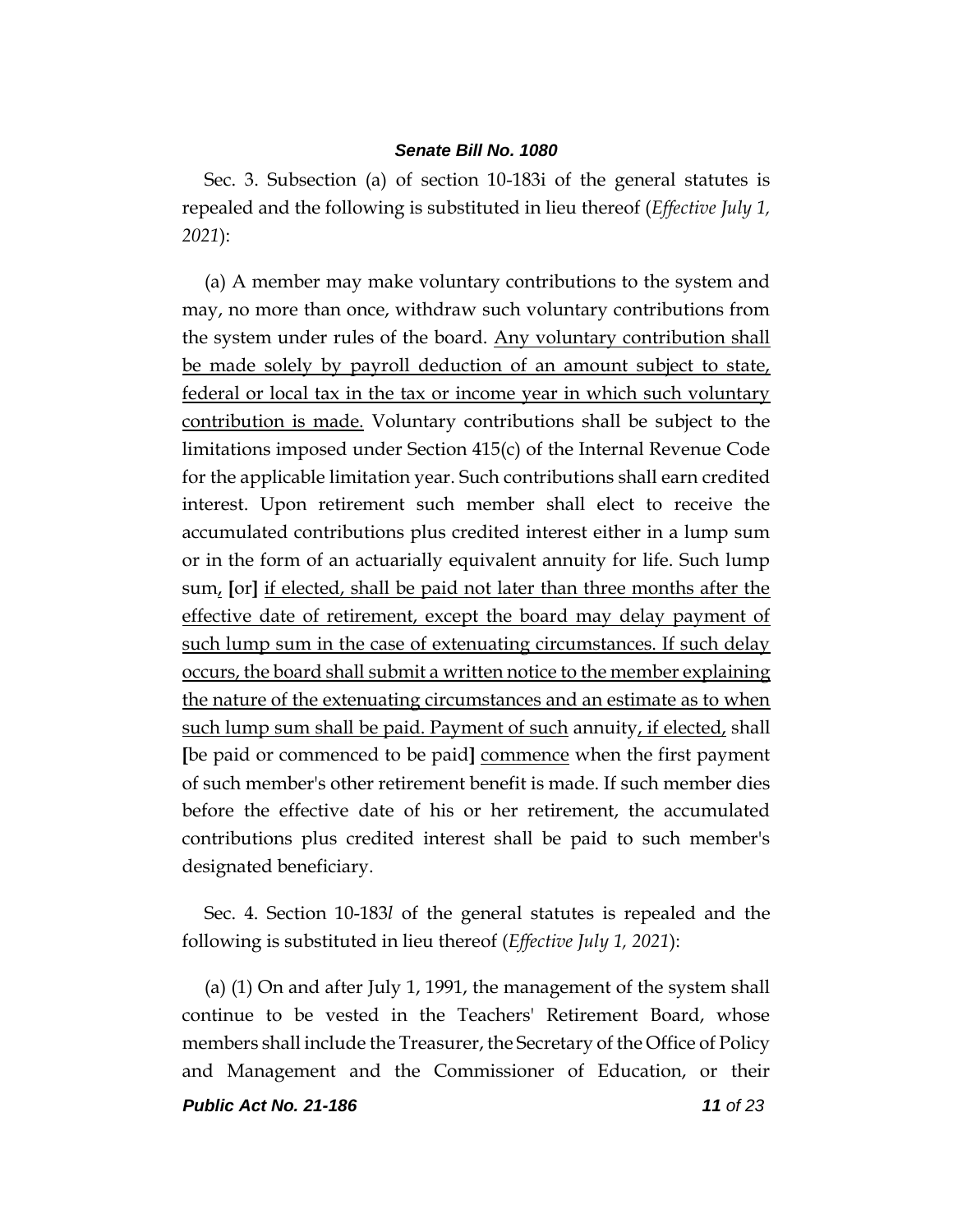Sec. 3. Subsection (a) of section 10-183i of the general statutes is repealed and the following is substituted in lieu thereof (*Effective July 1, 2021*):

(a) A member may make voluntary contributions to the system and may, no more than once, withdraw such voluntary contributions from the system under rules of the board. Any voluntary contribution shall be made solely by payroll deduction of an amount subject to state, federal or local tax in the tax or income year in which such voluntary contribution is made. Voluntary contributions shall be subject to the limitations imposed under Section 415(c) of the Internal Revenue Code for the applicable limitation year. Such contributions shall earn credited interest. Upon retirement such member shall elect to receive the accumulated contributions plus credited interest either in a lump sum or in the form of an actuarially equivalent annuity for life. Such lump sum, **[**or**]** if elected, shall be paid not later than three months after the effective date of retirement, except the board may delay payment of such lump sum in the case of extenuating circumstances. If such delay occurs, the board shall submit a written notice to the member explaining the nature of the extenuating circumstances and an estimate as to when such lump sum shall be paid. Payment of such annuity, if elected, shall **[**be paid or commenced to be paid**]** commence when the first payment of such member's other retirement benefit is made. If such member dies before the effective date of his or her retirement, the accumulated contributions plus credited interest shall be paid to such member's designated beneficiary.

Sec. 4. Section 10-183*l* of the general statutes is repealed and the following is substituted in lieu thereof (*Effective July 1, 2021*):

(a) (1) On and after July 1, 1991, the management of the system shall continue to be vested in the Teachers' Retirement Board, whose members shall include the Treasurer, the Secretary of the Office of Policy and Management and the Commissioner of Education, or their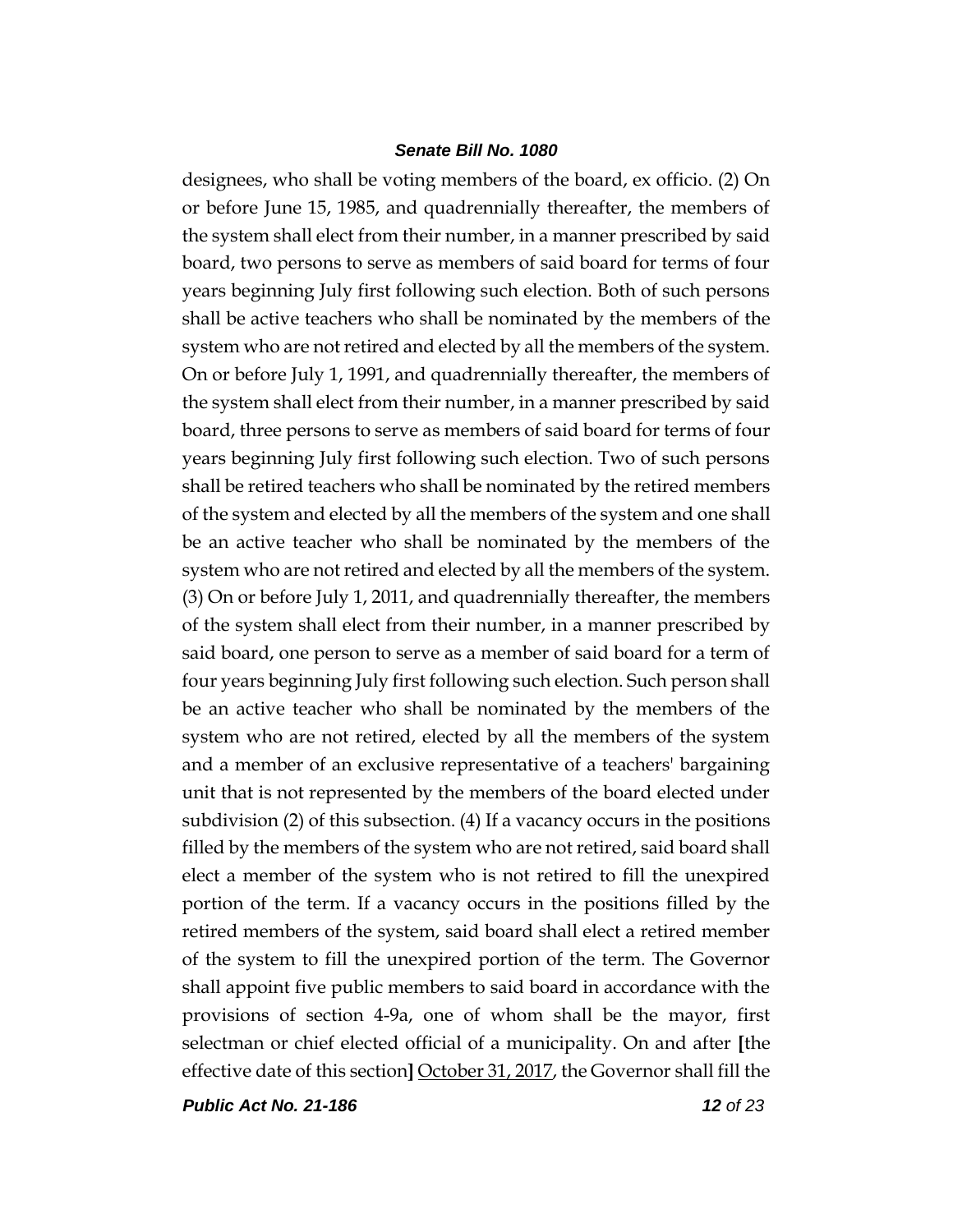designees, who shall be voting members of the board, ex officio. (2) On or before June 15, 1985, and quadrennially thereafter, the members of the system shall elect from their number, in a manner prescribed by said board, two persons to serve as members of said board for terms of four years beginning July first following such election. Both of such persons shall be active teachers who shall be nominated by the members of the system who are not retired and elected by all the members of the system. On or before July 1, 1991, and quadrennially thereafter, the members of the system shall elect from their number, in a manner prescribed by said board, three persons to serve as members of said board for terms of four years beginning July first following such election. Two of such persons shall be retired teachers who shall be nominated by the retired members of the system and elected by all the members of the system and one shall be an active teacher who shall be nominated by the members of the system who are not retired and elected by all the members of the system. (3) On or before July 1, 2011, and quadrennially thereafter, the members of the system shall elect from their number, in a manner prescribed by said board, one person to serve as a member of said board for a term of four years beginning July first following such election. Such person shall be an active teacher who shall be nominated by the members of the system who are not retired, elected by all the members of the system and a member of an exclusive representative of a teachers' bargaining unit that is not represented by the members of the board elected under subdivision (2) of this subsection. (4) If a vacancy occurs in the positions filled by the members of the system who are not retired, said board shall elect a member of the system who is not retired to fill the unexpired portion of the term. If a vacancy occurs in the positions filled by the retired members of the system, said board shall elect a retired member of the system to fill the unexpired portion of the term. The Governor shall appoint five public members to said board in accordance with the provisions of section 4-9a, one of whom shall be the mayor, first selectman or chief elected official of a municipality. On and after **[**the effective date of this section**]** October 31, 2017, the Governor shall fill the

*Public Act No. 21-186 12 of 23*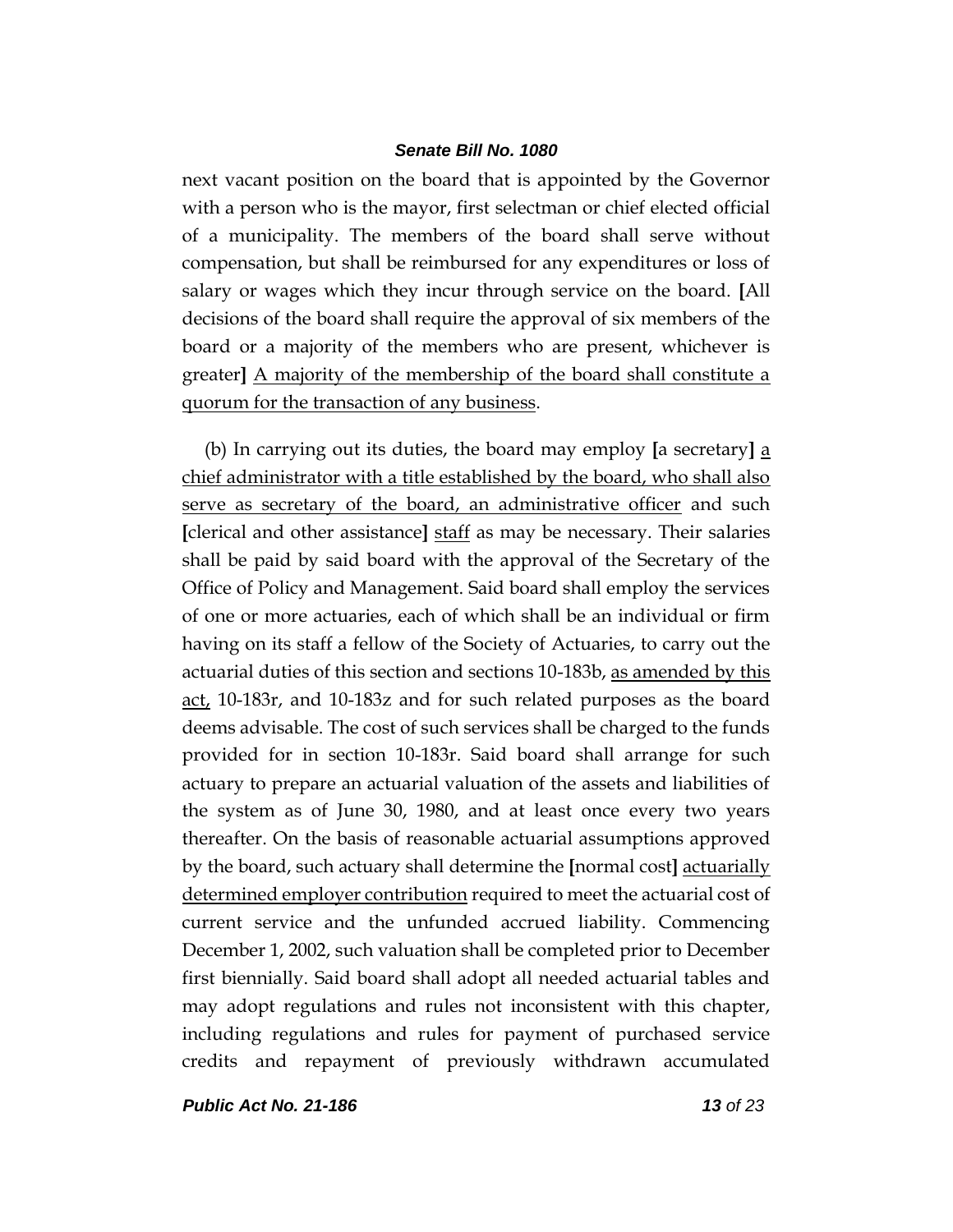next vacant position on the board that is appointed by the Governor with a person who is the mayor, first selectman or chief elected official of a municipality. The members of the board shall serve without compensation, but shall be reimbursed for any expenditures or loss of salary or wages which they incur through service on the board. **[**All decisions of the board shall require the approval of six members of the board or a majority of the members who are present, whichever is greater**]** A majority of the membership of the board shall constitute a quorum for the transaction of any business.

(b) In carrying out its duties, the board may employ **[**a secretary**]** a chief administrator with a title established by the board, who shall also serve as secretary of the board, an administrative officer and such **[**clerical and other assistance**]** staff as may be necessary. Their salaries shall be paid by said board with the approval of the Secretary of the Office of Policy and Management. Said board shall employ the services of one or more actuaries, each of which shall be an individual or firm having on its staff a fellow of the Society of Actuaries, to carry out the actuarial duties of this section and sections 10-183b, <u>as amended by this</u> act, 10-183r, and 10-183z and for such related purposes as the board deems advisable. The cost of such services shall be charged to the funds provided for in section 10-183r. Said board shall arrange for such actuary to prepare an actuarial valuation of the assets and liabilities of the system as of June 30, 1980, and at least once every two years thereafter. On the basis of reasonable actuarial assumptions approved by the board, such actuary shall determine the **[**normal cost**]** actuarially determined employer contribution required to meet the actuarial cost of current service and the unfunded accrued liability. Commencing December 1, 2002, such valuation shall be completed prior to December first biennially. Said board shall adopt all needed actuarial tables and may adopt regulations and rules not inconsistent with this chapter, including regulations and rules for payment of purchased service credits and repayment of previously withdrawn accumulated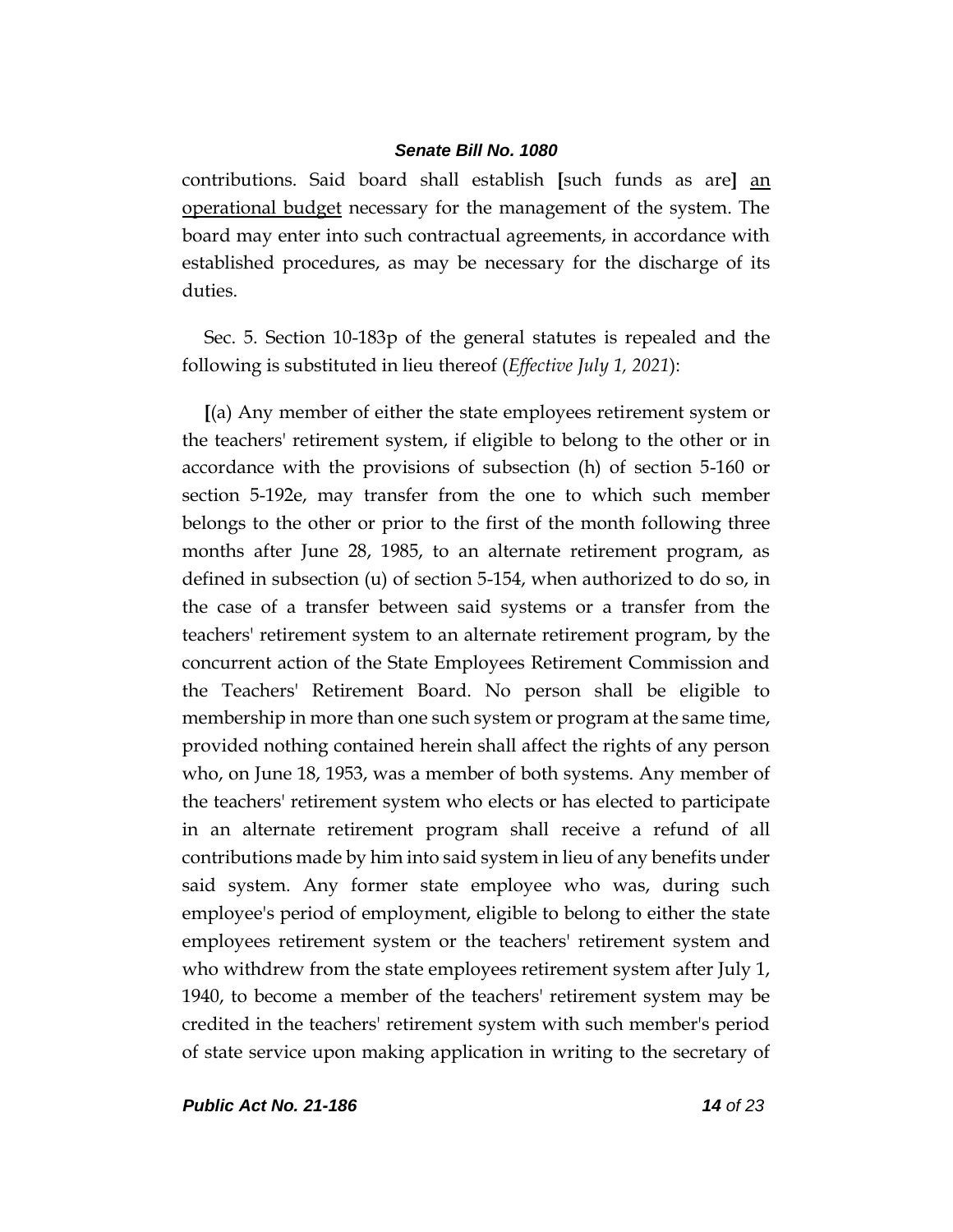contributions. Said board shall establish **[**such funds as are**]** an operational budget necessary for the management of the system. The board may enter into such contractual agreements, in accordance with established procedures, as may be necessary for the discharge of its duties.

Sec. 5. Section 10-183p of the general statutes is repealed and the following is substituted in lieu thereof (*Effective July 1, 2021*):

**[**(a) Any member of either the state employees retirement system or the teachers' retirement system, if eligible to belong to the other or in accordance with the provisions of subsection (h) of section 5-160 or section 5-192e, may transfer from the one to which such member belongs to the other or prior to the first of the month following three months after June 28, 1985, to an alternate retirement program, as defined in subsection (u) of section 5-154, when authorized to do so, in the case of a transfer between said systems or a transfer from the teachers' retirement system to an alternate retirement program, by the concurrent action of the State Employees Retirement Commission and the Teachers' Retirement Board. No person shall be eligible to membership in more than one such system or program at the same time, provided nothing contained herein shall affect the rights of any person who, on June 18, 1953, was a member of both systems. Any member of the teachers' retirement system who elects or has elected to participate in an alternate retirement program shall receive a refund of all contributions made by him into said system in lieu of any benefits under said system. Any former state employee who was, during such employee's period of employment, eligible to belong to either the state employees retirement system or the teachers' retirement system and who withdrew from the state employees retirement system after July 1, 1940, to become a member of the teachers' retirement system may be credited in the teachers' retirement system with such member's period of state service upon making application in writing to the secretary of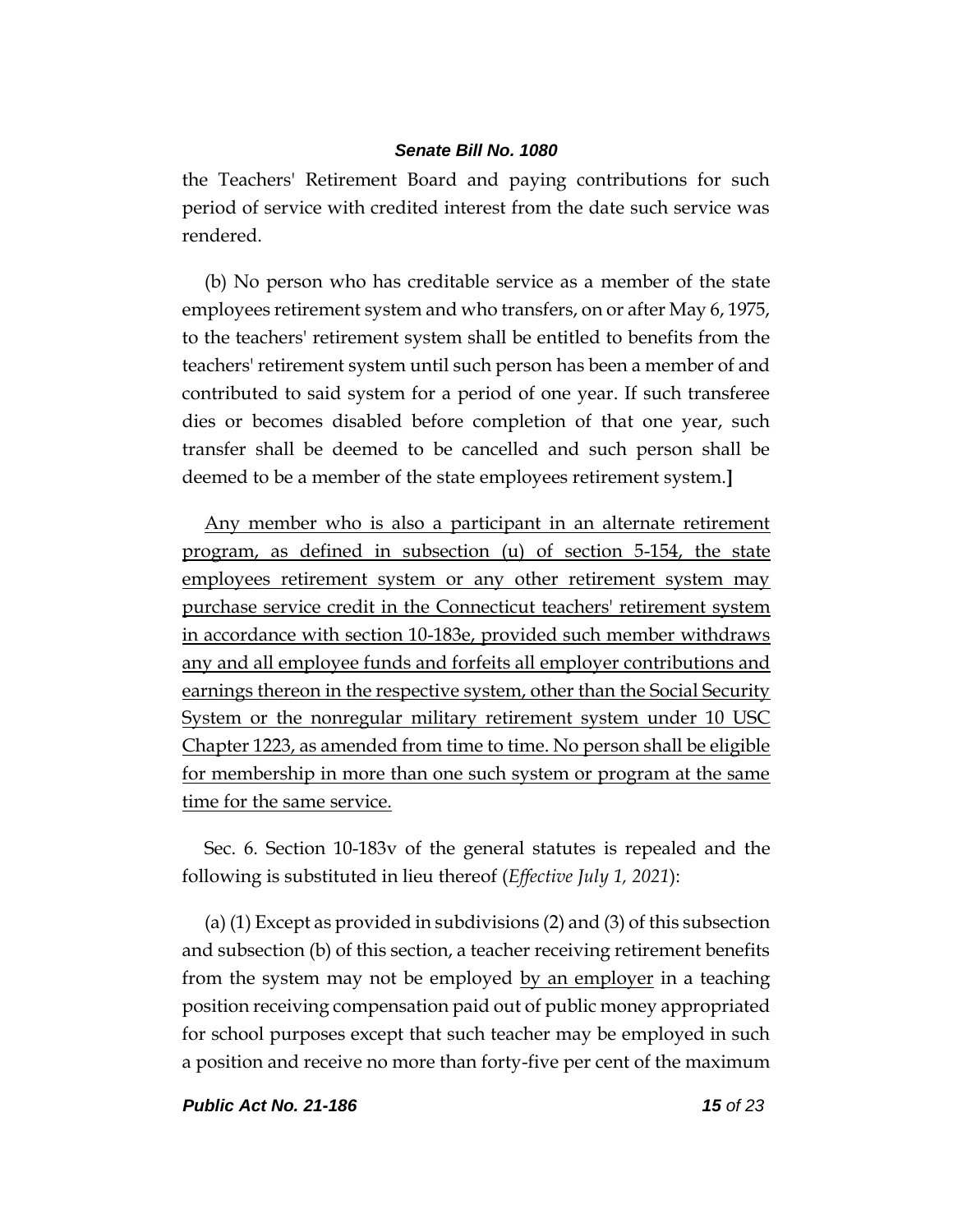the Teachers' Retirement Board and paying contributions for such period of service with credited interest from the date such service was rendered.

(b) No person who has creditable service as a member of the state employees retirement system and who transfers, on or after May 6, 1975, to the teachers' retirement system shall be entitled to benefits from the teachers' retirement system until such person has been a member of and contributed to said system for a period of one year. If such transferee dies or becomes disabled before completion of that one year, such transfer shall be deemed to be cancelled and such person shall be deemed to be a member of the state employees retirement system.**]**

Any member who is also a participant in an alternate retirement program, as defined in subsection (u) of section 5-154, the state employees retirement system or any other retirement system may purchase service credit in the Connecticut teachers' retirement system in accordance with section 10-183e, provided such member withdraws any and all employee funds and forfeits all employer contributions and earnings thereon in the respective system, other than the Social Security System or the nonregular military retirement system under 10 USC Chapter 1223, as amended from time to time. No person shall be eligible for membership in more than one such system or program at the same time for the same service.

Sec. 6. Section 10-183v of the general statutes is repealed and the following is substituted in lieu thereof (*Effective July 1, 2021*):

(a) (1) Except as provided in subdivisions (2) and (3) of this subsection and subsection (b) of this section, a teacher receiving retirement benefits from the system may not be employed by an employer in a teaching position receiving compensation paid out of public money appropriated for school purposes except that such teacher may be employed in such a position and receive no more than forty-five per cent of the maximum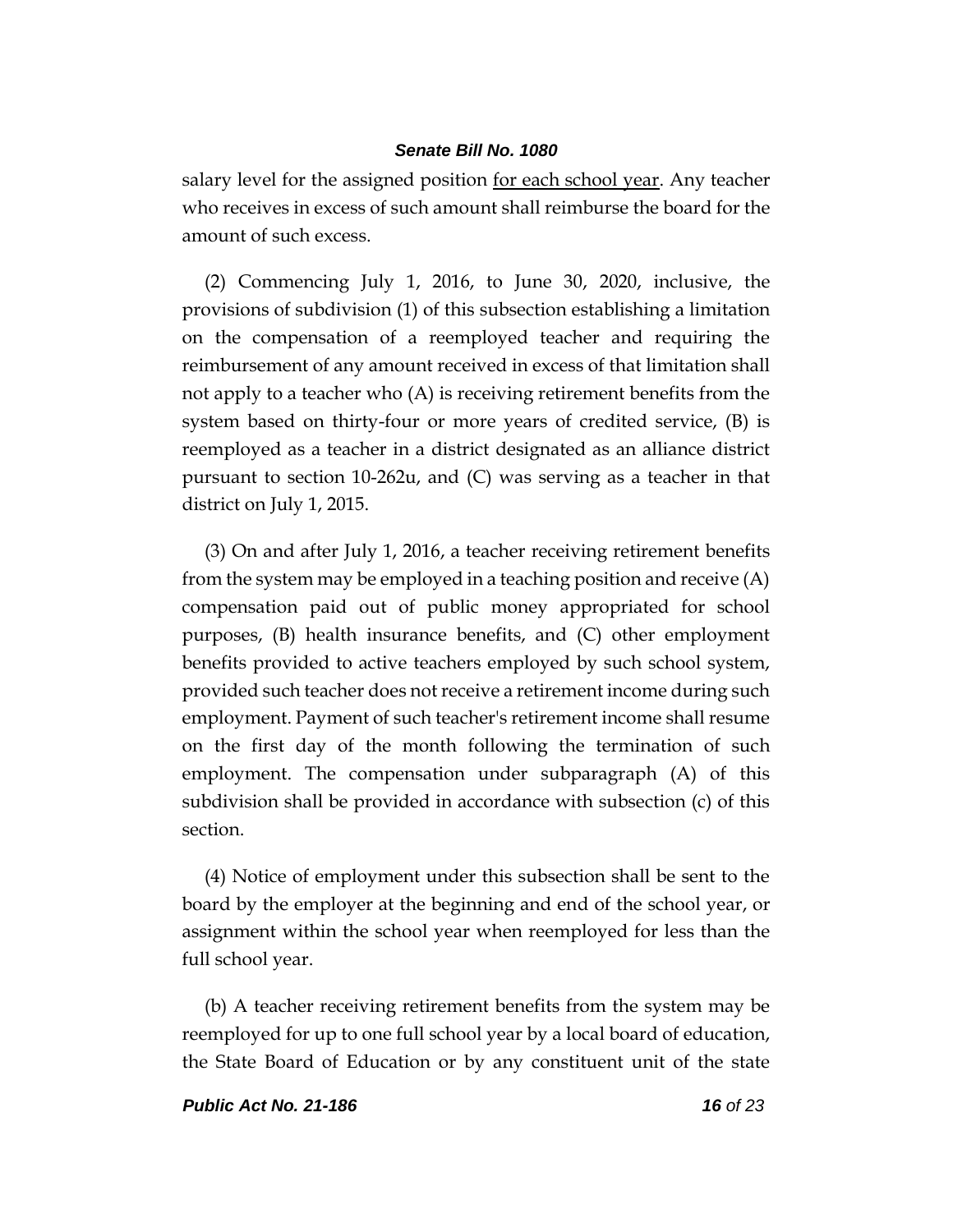salary level for the assigned position for each school year. Any teacher who receives in excess of such amount shall reimburse the board for the amount of such excess.

(2) Commencing July 1, 2016, to June 30, 2020, inclusive, the provisions of subdivision (1) of this subsection establishing a limitation on the compensation of a reemployed teacher and requiring the reimbursement of any amount received in excess of that limitation shall not apply to a teacher who (A) is receiving retirement benefits from the system based on thirty-four or more years of credited service, (B) is reemployed as a teacher in a district designated as an alliance district pursuant to section 10-262u, and (C) was serving as a teacher in that district on July 1, 2015.

(3) On and after July 1, 2016, a teacher receiving retirement benefits from the system may be employed in a teaching position and receive (A) compensation paid out of public money appropriated for school purposes, (B) health insurance benefits, and (C) other employment benefits provided to active teachers employed by such school system, provided such teacher does not receive a retirement income during such employment. Payment of such teacher's retirement income shall resume on the first day of the month following the termination of such employment. The compensation under subparagraph (A) of this subdivision shall be provided in accordance with subsection (c) of this section.

(4) Notice of employment under this subsection shall be sent to the board by the employer at the beginning and end of the school year, or assignment within the school year when reemployed for less than the full school year.

(b) A teacher receiving retirement benefits from the system may be reemployed for up to one full school year by a local board of education, the State Board of Education or by any constituent unit of the state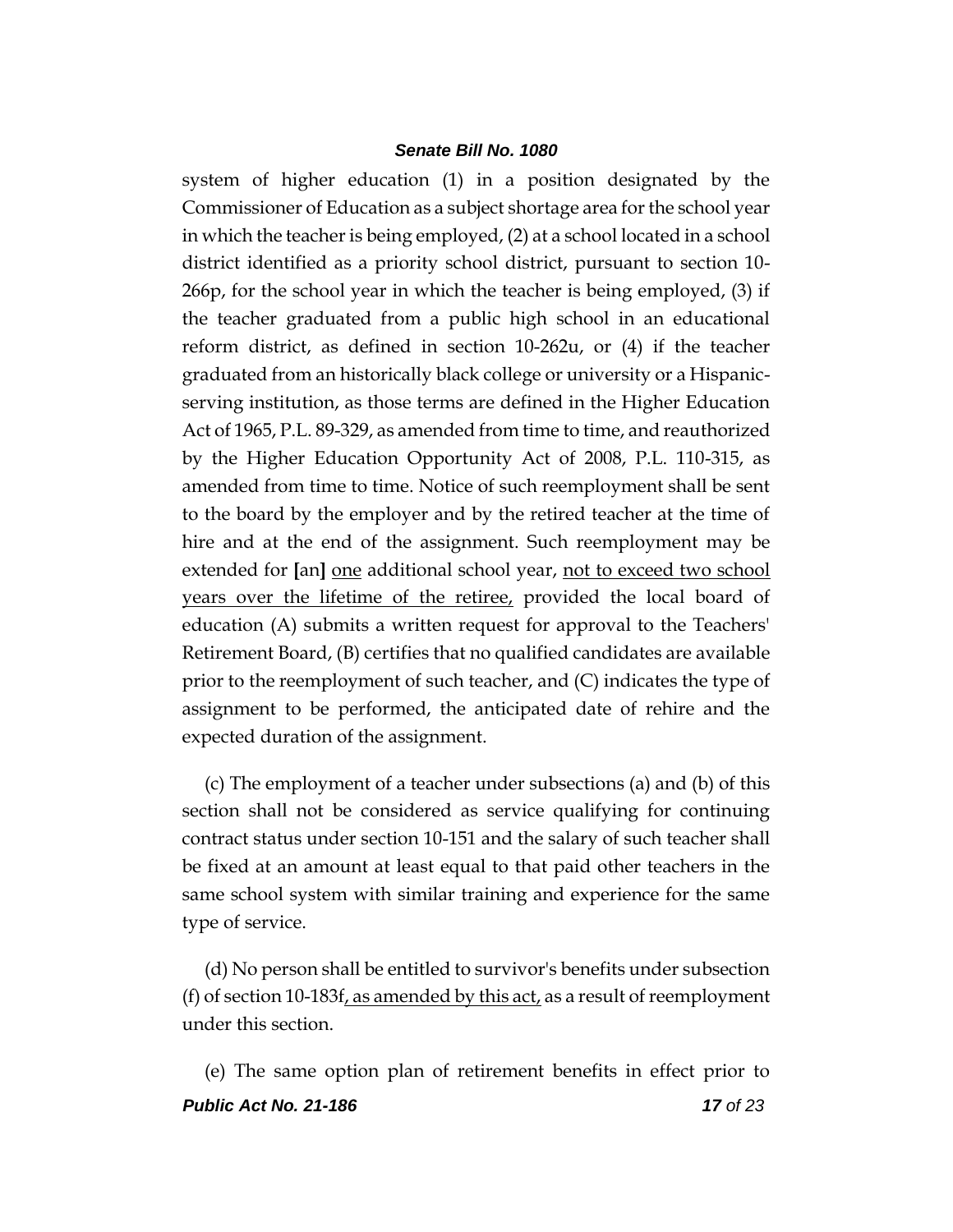system of higher education (1) in a position designated by the Commissioner of Education as a subject shortage area for the school year in which the teacher is being employed, (2) at a school located in a school district identified as a priority school district, pursuant to section 10- 266p, for the school year in which the teacher is being employed, (3) if the teacher graduated from a public high school in an educational reform district, as defined in section 10-262u, or (4) if the teacher graduated from an historically black college or university or a Hispanicserving institution, as those terms are defined in the Higher Education Act of 1965, P.L. 89-329, as amended from time to time, and reauthorized by the Higher Education Opportunity Act of 2008, P.L. 110-315, as amended from time to time. Notice of such reemployment shall be sent to the board by the employer and by the retired teacher at the time of hire and at the end of the assignment. Such reemployment may be extended for **[**an**]** one additional school year, not to exceed two school years over the lifetime of the retiree, provided the local board of education (A) submits a written request for approval to the Teachers' Retirement Board, (B) certifies that no qualified candidates are available prior to the reemployment of such teacher, and (C) indicates the type of assignment to be performed, the anticipated date of rehire and the expected duration of the assignment.

(c) The employment of a teacher under subsections (a) and (b) of this section shall not be considered as service qualifying for continuing contract status under section 10-151 and the salary of such teacher shall be fixed at an amount at least equal to that paid other teachers in the same school system with similar training and experience for the same type of service.

(d) No person shall be entitled to survivor's benefits under subsection (f) of section 10-183f, as amended by this act, as a result of reemployment under this section.

*Public Act No. 21-186 17 of 23* (e) The same option plan of retirement benefits in effect prior to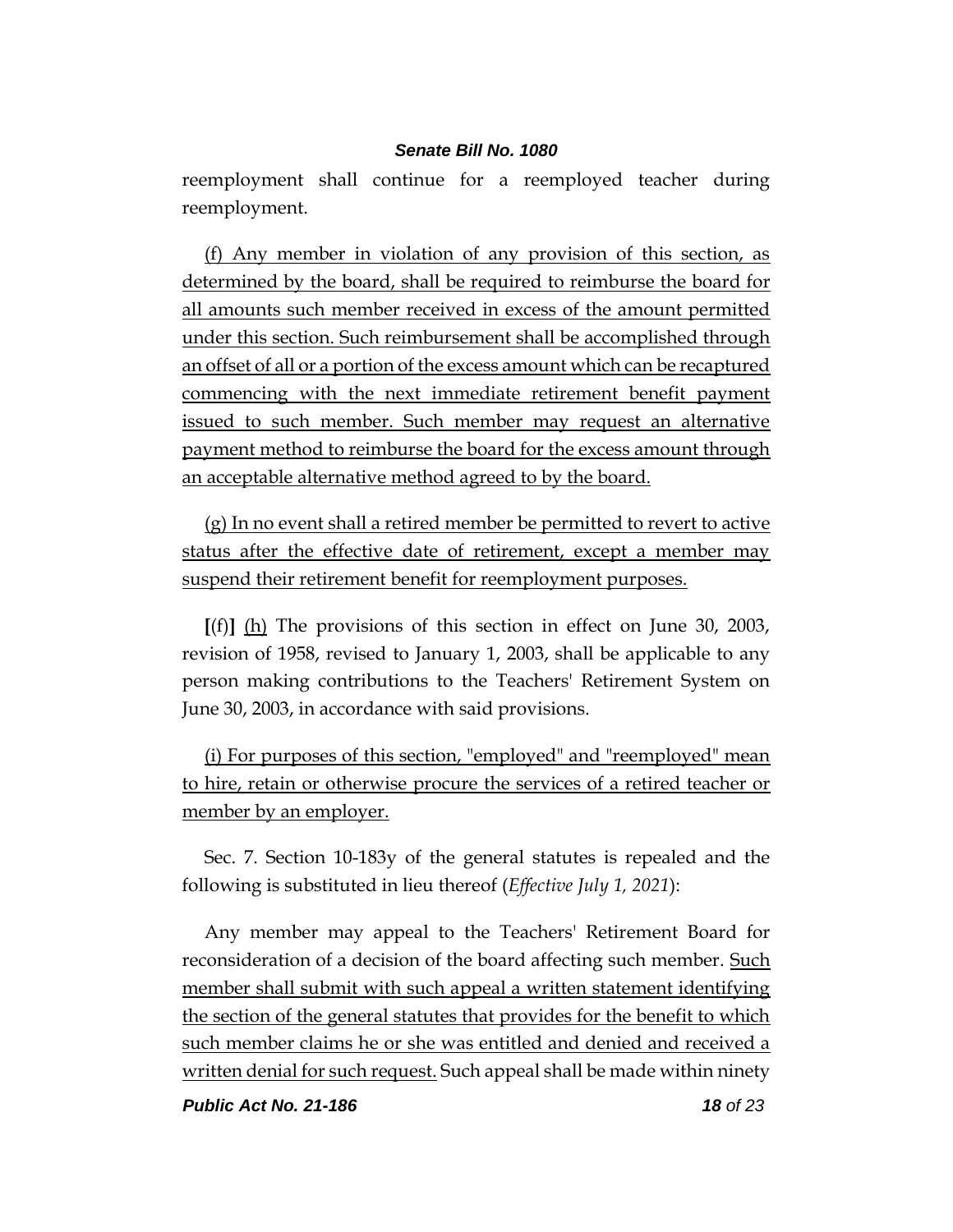reemployment shall continue for a reemployed teacher during reemployment.

(f) Any member in violation of any provision of this section, as determined by the board, shall be required to reimburse the board for all amounts such member received in excess of the amount permitted under this section. Such reimbursement shall be accomplished through an offset of all or a portion of the excess amount which can be recaptured commencing with the next immediate retirement benefit payment issued to such member. Such member may request an alternative payment method to reimburse the board for the excess amount through an acceptable alternative method agreed to by the board.

(g) In no event shall a retired member be permitted to revert to active status after the effective date of retirement, except a member may suspend their retirement benefit for reemployment purposes.

**[**(f)**]** (h) The provisions of this section in effect on June 30, 2003, revision of 1958, revised to January 1, 2003, shall be applicable to any person making contributions to the Teachers' Retirement System on June 30, 2003, in accordance with said provisions.

(i) For purposes of this section, "employed" and "reemployed" mean to hire, retain or otherwise procure the services of a retired teacher or member by an employer.

Sec. 7. Section 10-183y of the general statutes is repealed and the following is substituted in lieu thereof (*Effective July 1, 2021*):

Any member may appeal to the Teachers' Retirement Board for reconsideration of a decision of the board affecting such member. Such member shall submit with such appeal a written statement identifying the section of the general statutes that provides for the benefit to which such member claims he or she was entitled and denied and received a written denial for such request. Such appeal shall be made within ninety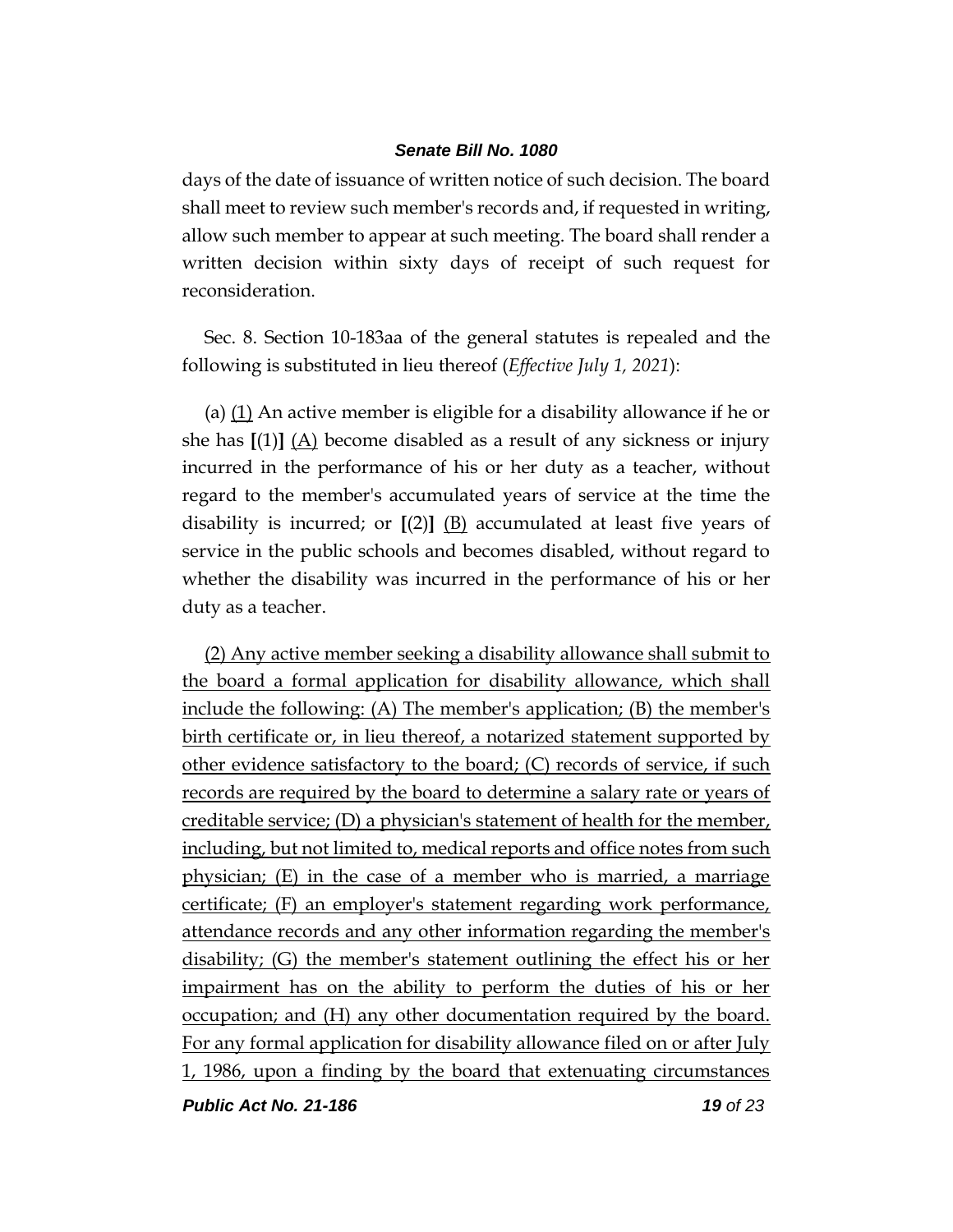days of the date of issuance of written notice of such decision. The board shall meet to review such member's records and, if requested in writing, allow such member to appear at such meeting. The board shall render a written decision within sixty days of receipt of such request for reconsideration.

Sec. 8. Section 10-183aa of the general statutes is repealed and the following is substituted in lieu thereof (*Effective July 1, 2021*):

(a) (1) An active member is eligible for a disability allowance if he or she has **[**(1)**]** (A) become disabled as a result of any sickness or injury incurred in the performance of his or her duty as a teacher, without regard to the member's accumulated years of service at the time the disability is incurred; or **[**(2)**]** (B) accumulated at least five years of service in the public schools and becomes disabled, without regard to whether the disability was incurred in the performance of his or her duty as a teacher.

(2) Any active member seeking a disability allowance shall submit to the board a formal application for disability allowance, which shall include the following: (A) The member's application; (B) the member's birth certificate or, in lieu thereof, a notarized statement supported by other evidence satisfactory to the board; (C) records of service, if such records are required by the board to determine a salary rate or years of creditable service; (D) a physician's statement of health for the member, including, but not limited to, medical reports and office notes from such physician; (E) in the case of a member who is married, a marriage certificate; (F) an employer's statement regarding work performance, attendance records and any other information regarding the member's disability; (G) the member's statement outlining the effect his or her impairment has on the ability to perform the duties of his or her occupation; and (H) any other documentation required by the board. For any formal application for disability allowance filed on or after July 1, 1986, upon a finding by the board that extenuating circumstances

*Public Act No. 21-186 19 of 23*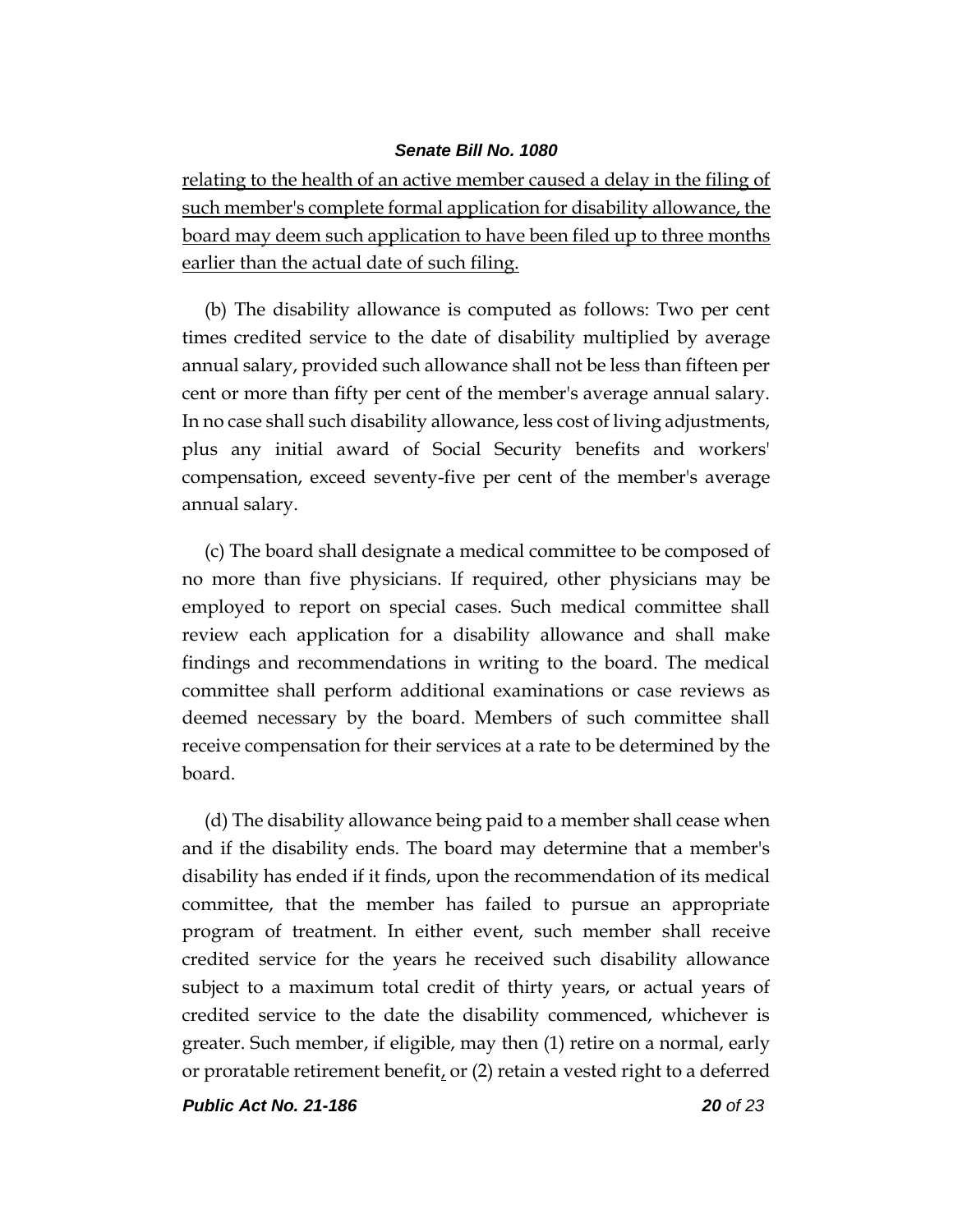relating to the health of an active member caused a delay in the filing of such member's complete formal application for disability allowance, the board may deem such application to have been filed up to three months earlier than the actual date of such filing.

(b) The disability allowance is computed as follows: Two per cent times credited service to the date of disability multiplied by average annual salary, provided such allowance shall not be less than fifteen per cent or more than fifty per cent of the member's average annual salary. In no case shall such disability allowance, less cost of living adjustments, plus any initial award of Social Security benefits and workers' compensation, exceed seventy-five per cent of the member's average annual salary.

(c) The board shall designate a medical committee to be composed of no more than five physicians. If required, other physicians may be employed to report on special cases. Such medical committee shall review each application for a disability allowance and shall make findings and recommendations in writing to the board. The medical committee shall perform additional examinations or case reviews as deemed necessary by the board. Members of such committee shall receive compensation for their services at a rate to be determined by the board.

(d) The disability allowance being paid to a member shall cease when and if the disability ends. The board may determine that a member's disability has ended if it finds, upon the recommendation of its medical committee, that the member has failed to pursue an appropriate program of treatment. In either event, such member shall receive credited service for the years he received such disability allowance subject to a maximum total credit of thirty years, or actual years of credited service to the date the disability commenced, whichever is greater. Such member, if eligible, may then (1) retire on a normal, early or proratable retirement benefit, or (2) retain a vested right to a deferred

*Public Act No. 21-186 20 of 23*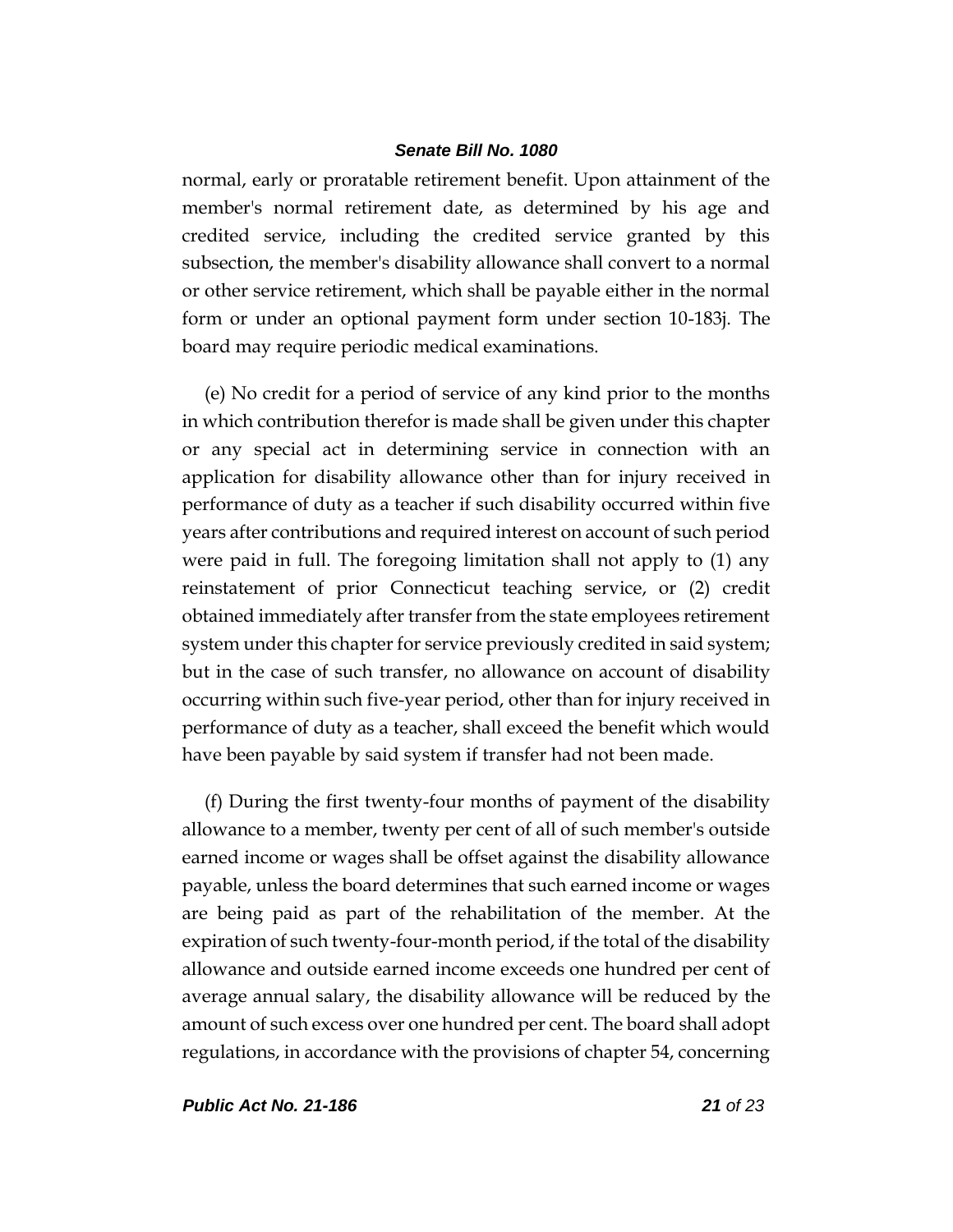normal, early or proratable retirement benefit. Upon attainment of the member's normal retirement date, as determined by his age and credited service, including the credited service granted by this subsection, the member's disability allowance shall convert to a normal or other service retirement, which shall be payable either in the normal form or under an optional payment form under section 10-183j. The board may require periodic medical examinations.

(e) No credit for a period of service of any kind prior to the months in which contribution therefor is made shall be given under this chapter or any special act in determining service in connection with an application for disability allowance other than for injury received in performance of duty as a teacher if such disability occurred within five years after contributions and required interest on account of such period were paid in full. The foregoing limitation shall not apply to (1) any reinstatement of prior Connecticut teaching service, or (2) credit obtained immediately after transfer from the state employees retirement system under this chapter for service previously credited in said system; but in the case of such transfer, no allowance on account of disability occurring within such five-year period, other than for injury received in performance of duty as a teacher, shall exceed the benefit which would have been payable by said system if transfer had not been made.

(f) During the first twenty-four months of payment of the disability allowance to a member, twenty per cent of all of such member's outside earned income or wages shall be offset against the disability allowance payable, unless the board determines that such earned income or wages are being paid as part of the rehabilitation of the member. At the expiration of such twenty-four-month period, if the total of the disability allowance and outside earned income exceeds one hundred per cent of average annual salary, the disability allowance will be reduced by the amount of such excess over one hundred per cent. The board shall adopt regulations, in accordance with the provisions of chapter 54, concerning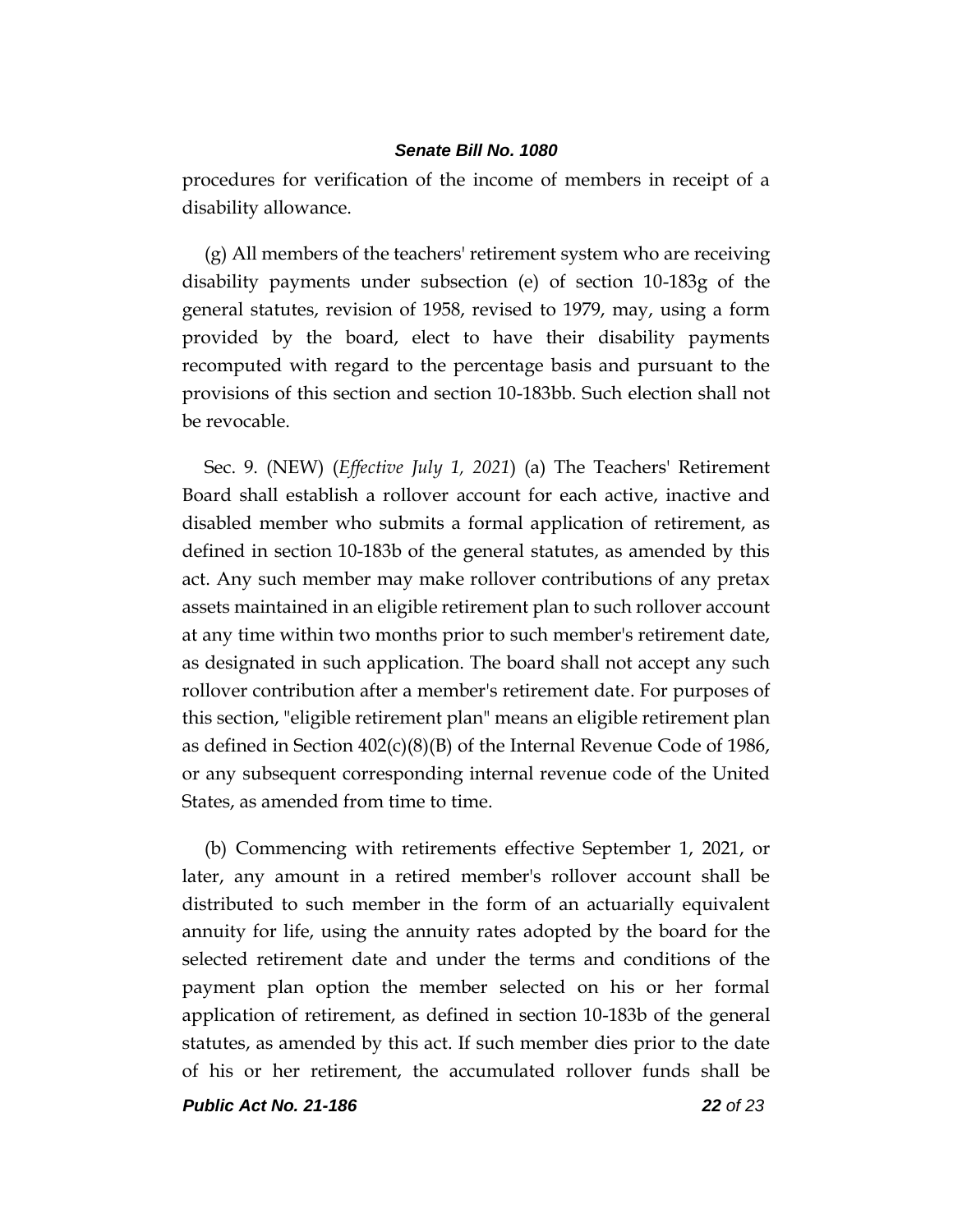procedures for verification of the income of members in receipt of a disability allowance.

(g) All members of the teachers' retirement system who are receiving disability payments under subsection (e) of section 10-183g of the general statutes, revision of 1958, revised to 1979, may, using a form provided by the board, elect to have their disability payments recomputed with regard to the percentage basis and pursuant to the provisions of this section and section 10-183bb. Such election shall not be revocable.

Sec. 9. (NEW) (*Effective July 1, 2021*) (a) The Teachers' Retirement Board shall establish a rollover account for each active, inactive and disabled member who submits a formal application of retirement, as defined in section 10-183b of the general statutes, as amended by this act. Any such member may make rollover contributions of any pretax assets maintained in an eligible retirement plan to such rollover account at any time within two months prior to such member's retirement date, as designated in such application. The board shall not accept any such rollover contribution after a member's retirement date. For purposes of this section, "eligible retirement plan" means an eligible retirement plan as defined in Section 402(c)(8)(B) of the Internal Revenue Code of 1986, or any subsequent corresponding internal revenue code of the United States, as amended from time to time.

(b) Commencing with retirements effective September 1, 2021, or later, any amount in a retired member's rollover account shall be distributed to such member in the form of an actuarially equivalent annuity for life, using the annuity rates adopted by the board for the selected retirement date and under the terms and conditions of the payment plan option the member selected on his or her formal application of retirement, as defined in section 10-183b of the general statutes, as amended by this act. If such member dies prior to the date of his or her retirement, the accumulated rollover funds shall be

*Public Act No. 21-186 22 of 23*